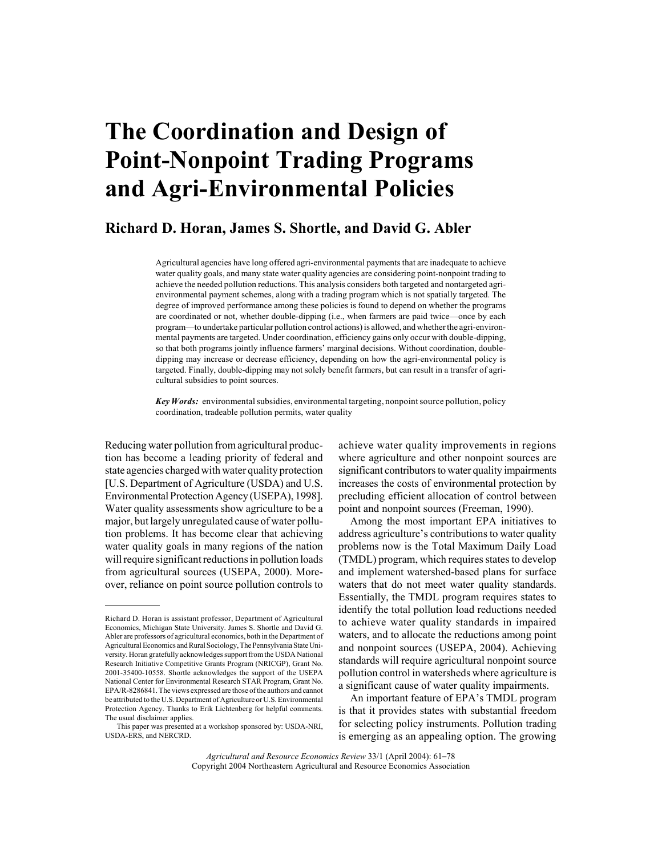# **The Coordination and Design of Point-Nonpoint Trading Programs and Agri-Environmental Policies**

## **Richard D. Horan, James S. Shortle, and David G. Abler**

Agricultural agencies have long offered agri-environmental payments that are inadequate to achieve water quality goals, and many state water quality agencies are considering point-nonpoint trading to achieve the needed pollution reductions. This analysis considers both targeted and nontargeted agrienvironmental payment schemes, along with a trading program which is not spatially targeted. The degree of improved performance among these policies is found to depend on whether the programs are coordinated or not, whether double-dipping (i.e., when farmers are paid twice—once by each program—to undertake particular pollution control actions) is allowed, and whether the agri-environmental payments are targeted. Under coordination, efficiency gains only occur with double-dipping, so that both programs jointly influence farmers' marginal decisions. Without coordination, doubledipping may increase or decrease efficiency, depending on how the agri-environmental policy is targeted. Finally, double-dipping may not solely benefit farmers, but can result in a transfer of agricultural subsidies to point sources.

*Key Words:* environmental subsidies, environmental targeting, nonpoint source pollution, policy coordination, tradeable pollution permits, water quality

Reducing water pollution from agricultural production has become a leading priority of federal and state agencies charged with water quality protection [U.S. Department of Agriculture (USDA) and U.S. Environmental Protection Agency (USEPA), 1998]. Water quality assessments show agriculture to be a major, but largely unregulated cause of water pollution problems. It has become clear that achieving water quality goals in many regions of the nation will require significant reductions in pollution loads from agricultural sources (USEPA, 2000). Moreover, reliance on point source pollution controls to achieve water quality improvements in regions where agriculture and other nonpoint sources are significant contributors to water quality impairments increases the costs of environmental protection by precluding efficient allocation of control between point and nonpoint sources (Freeman, 1990).

Among the most important EPA initiatives to address agriculture's contributions to water quality problems now is the Total Maximum Daily Load (TMDL) program, which requires states to develop and implement watershed-based plans for surface waters that do not meet water quality standards. Essentially, the TMDL program requires states to identify the total pollution load reductions needed to achieve water quality standards in impaired waters, and to allocate the reductions among point and nonpoint sources (USEPA, 2004). Achieving standards will require agricultural nonpoint source pollution control in watersheds where agriculture is a significant cause of water quality impairments.

An important feature of EPA's TMDL program is that it provides states with substantial freedom for selecting policy instruments. Pollution trading is emerging as an appealing option. The growing

*Agricultural and Resource Economics Review* 33/1 (April 2004): 61-78 Copyright 2004 Northeastern Agricultural and Resource Economics Association

Richard D. Horan is assistant professor, Department of Agricultural Economics, Michigan State University. James S. Shortle and David G. Abler are professors of agricultural economics, both in the Department of Agricultural Economics and Rural Sociology, The Pennsylvania State University. Horan gratefully acknowledges support from the USDA National Research Initiative Competitive Grants Program (NRICGP), Grant No. 2001-35400-10558. Shortle acknowledges the support of the USEPA National Center for Environmental Research STAR Program, Grant No. EPA/R-8286841. The views expressed are those of the authors and cannot be attributed to the U.S. Department of Agriculture or U.S. Environmental Protection Agency. Thanks to Erik Lichtenberg for helpful comments. The usual disclaimer applies.

This paper was presented at a workshop sponsored by: USDA-NRI, USDA-ERS, and NERCRD.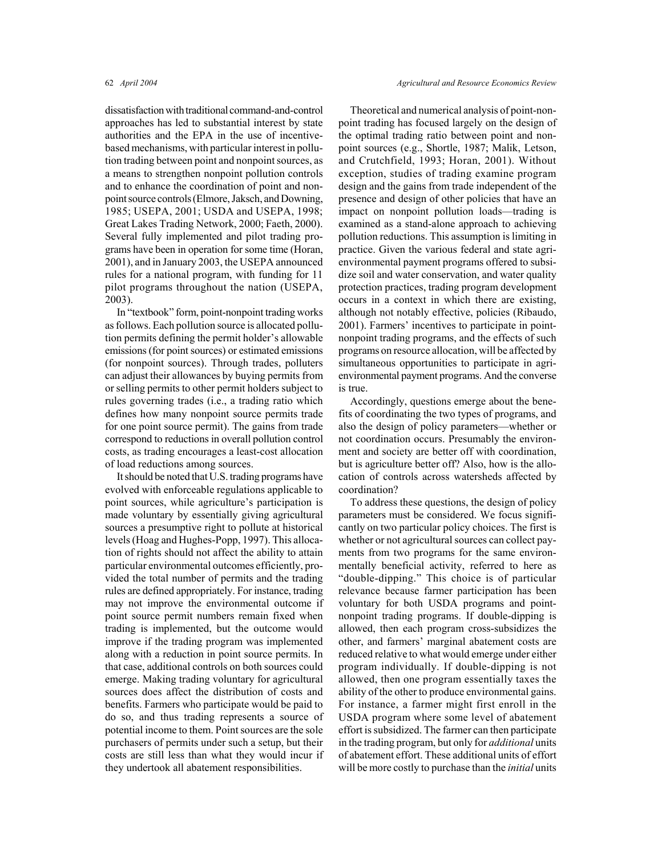dissatisfaction with traditional command-and-control approaches has led to substantial interest by state authorities and the EPA in the use of incentivebased mechanisms, with particular interest in pollution trading between point and nonpoint sources, as a means to strengthen nonpoint pollution controls and to enhance the coordination of point and nonpoint source controls (Elmore, Jaksch, and Downing, 1985; USEPA, 2001; USDA and USEPA, 1998; Great Lakes Trading Network, 2000; Faeth, 2000). Several fully implemented and pilot trading programs have been in operation for some time (Horan, 2001), and in January 2003, the USEPA announced rules for a national program, with funding for 11 pilot programs throughout the nation (USEPA, 2003).

In "textbook" form, point-nonpoint trading works as follows. Each pollution source is allocated pollution permits defining the permit holder's allowable emissions (for point sources) or estimated emissions (for nonpoint sources). Through trades, polluters can adjust their allowances by buying permits from or selling permits to other permit holders subject to rules governing trades (i.e., a trading ratio which defines how many nonpoint source permits trade for one point source permit). The gains from trade correspond to reductions in overall pollution control costs, as trading encourages a least-cost allocation of load reductions among sources.

It should be noted that U.S. trading programs have evolved with enforceable regulations applicable to point sources, while agriculture's participation is made voluntary by essentially giving agricultural sources a presumptive right to pollute at historical levels (Hoag and Hughes-Popp, 1997). This allocation of rights should not affect the ability to attain particular environmental outcomes efficiently, provided the total number of permits and the trading rules are defined appropriately. For instance, trading may not improve the environmental outcome if point source permit numbers remain fixed when trading is implemented, but the outcome would improve if the trading program was implemented along with a reduction in point source permits. In that case, additional controls on both sources could emerge. Making trading voluntary for agricultural sources does affect the distribution of costs and benefits. Farmers who participate would be paid to do so, and thus trading represents a source of potential income to them. Point sources are the sole purchasers of permits under such a setup, but their costs are still less than what they would incur if they undertook all abatement responsibilities.

Theoretical and numerical analysis of point-nonpoint trading has focused largely on the design of the optimal trading ratio between point and nonpoint sources (e.g., Shortle, 1987; Malik, Letson, and Crutchfield, 1993; Horan, 2001). Without exception, studies of trading examine program design and the gains from trade independent of the presence and design of other policies that have an impact on nonpoint pollution loads—trading is examined as a stand-alone approach to achieving pollution reductions. This assumption is limiting in practice. Given the various federal and state agrienvironmental payment programs offered to subsidize soil and water conservation, and water quality protection practices, trading program development occurs in a context in which there are existing, although not notably effective, policies (Ribaudo, 2001). Farmers' incentives to participate in pointnonpoint trading programs, and the effects of such programs on resource allocation, will be affected by simultaneous opportunities to participate in agrienvironmental payment programs. And the converse is true.

Accordingly, questions emerge about the benefits of coordinating the two types of programs, and also the design of policy parameters—whether or not coordination occurs. Presumably the environment and society are better off with coordination, but is agriculture better off? Also, how is the allocation of controls across watersheds affected by coordination?

To address these questions, the design of policy parameters must be considered. We focus significantly on two particular policy choices. The first is whether or not agricultural sources can collect payments from two programs for the same environmentally beneficial activity, referred to here as "double-dipping." This choice is of particular relevance because farmer participation has been voluntary for both USDA programs and pointnonpoint trading programs. If double-dipping is allowed, then each program cross-subsidizes the other, and farmers' marginal abatement costs are reduced relative to what would emerge under either program individually. If double-dipping is not allowed, then one program essentially taxes the ability of the other to produce environmental gains. For instance, a farmer might first enroll in the USDA program where some level of abatement effort is subsidized. The farmer can then participate in the trading program, but only for *additional* units of abatement effort. These additional units of effort will be more costly to purchase than the *initial* units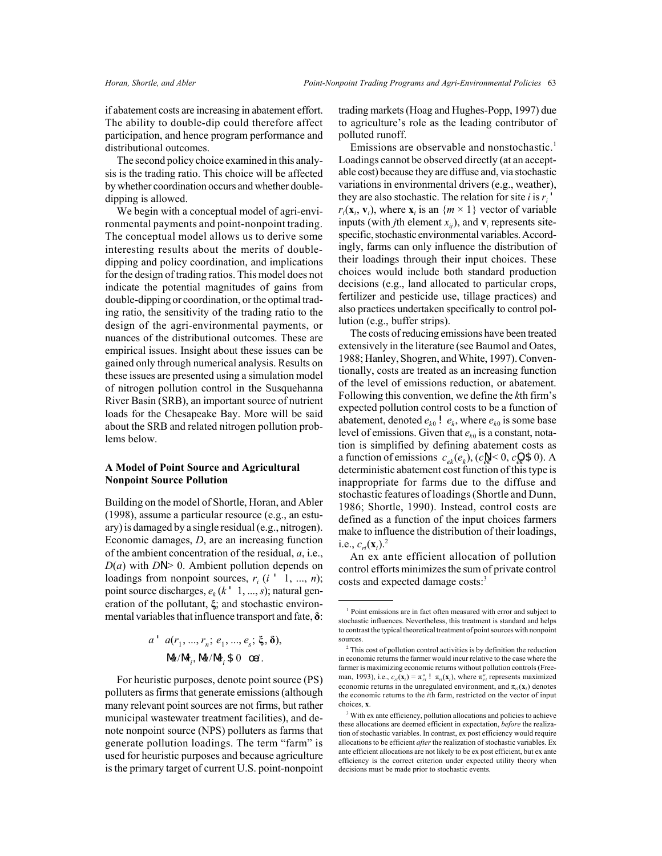if abatement costs are increasing in abatement effort. The ability to double-dip could therefore affect participation, and hence program performance and distributional outcomes.

The second policy choice examined in this analysis is the trading ratio. This choice will be affected by whether coordination occurs and whether doubledipping is allowed.

We begin with a conceptual model of agri-environmental payments and point-nonpoint trading. The conceptual model allows us to derive some interesting results about the merits of doubledipping and policy coordination, and implications for the design of trading ratios. This model does not indicate the potential magnitudes of gains from double-dipping or coordination, or the optimal trading ratio, the sensitivity of the trading ratio to the design of the agri-environmental payments, or nuances of the distributional outcomes. These are empirical issues. Insight about these issues can be gained only through numerical analysis. Results on these issues are presented using a simulation model of nitrogen pollution control in the Susquehanna River Basin (SRB), an important source of nutrient loads for the Chesapeake Bay. More will be said about the SRB and related nitrogen pollution problems below.

#### **A Model of Point Source and Agricultural Nonpoint Source Pollution**

Building on the model of Shortle, Horan, and Abler (1998), assume a particular resource (e.g., an estuary) is damaged by a single residual (e.g., nitrogen). Economic damages, *D*, are an increasing function of the ambient concentration of the residual, *a*, i.e.,  $D(a)$  with  $DN$  0. Ambient pollution depends on loadings from nonpoint sources,  $r_i$  ( $i'$  1, ...,  $n$ ); point source discharges,  $e_k$  ( $k'$  1, ..., *s*); natural generation of the pollutant, **ξ**; and stochastic environmental variables that influence transport and fate, **δ**:

$$
a' \ a(r_1, ..., r_n; e_1, ..., e_s; \xi, \delta),
$$
  
\n $\Delta/M_i, \Delta/M_i; \delta \ 0 \ \text{oi}.$ 

For heuristic purposes, denote point source (PS) polluters as firms that generate emissions (although many relevant point sources are not firms, but rather municipal wastewater treatment facilities), and denote nonpoint source (NPS) polluters as farms that generate pollution loadings. The term "farm" is used for heuristic purposes and because agriculture is the primary target of current U.S. point-nonpoint trading markets (Hoag and Hughes-Popp, 1997) due to agriculture's role as the leading contributor of polluted runoff.

Emissions are observable and nonstochastic.<sup>1</sup> Loadings cannot be observed directly (at an acceptable cost) because they are diffuse and, via stochastic variations in environmental drivers (e.g., weather), they are also stochastic. The relation for site  $i$  is  $r_i$ <sup> $\cdot$ </sup>  $r_i(\mathbf{x}_i, \mathbf{v}_i)$ , where  $\mathbf{x}_i$  is an  $\{m \times 1\}$  vector of variable inputs (with *j*th element  $x_{ij}$ ), and  $v_i$  represents sitespecific, stochastic environmental variables. Accordingly, farms can only influence the distribution of their loadings through their input choices. These choices would include both standard production decisions (e.g., land allocated to particular crops, fertilizer and pesticide use, tillage practices) and also practices undertaken specifically to control pollution (e.g., buffer strips).

The costs of reducing emissions have been treated extensively in the literature (see Baumol and Oates, 1988; Hanley, Shogren, and White, 1997). Conventionally, costs are treated as an increasing function of the level of emissions reduction, or abatement. Following this convention, we define the *k*th firm's expected pollution control costs to be a function of abatement, denoted  $e_{k0}! e_k$ , where  $e_{k0}$  is some base level of emissions. Given that  $e_{k0}$  is a constant, notation is simplified by defining abatement costs as a function of emissions  $c_{ek}(e_k)$ ,  $(c_k^N) \leq 0$ ,  $c_k^Q \leq 0$ ). A deterministic abatement cost function of this type is inappropriate for farms due to the diffuse and stochastic features of loadings (Shortle and Dunn, 1986; Shortle, 1990). Instead, control costs are defined as a function of the input choices farmers make to influence the distribution of their loadings, i.e.,  $c_{ri}(\mathbf{x}_i)^2$ .

An ex ante efficient allocation of pollution control efforts minimizes the sum of private control costs and expected damage costs:<sup>3</sup>

<sup>&</sup>lt;sup>1</sup> Point emissions are in fact often measured with error and subject to stochastic influences. Nevertheless, this treatment is standard and helps to contrast the typical theoretical treatment of point sources with nonpoint sources

 $\,{}^{2}$  This cost of pollution control activities is by definition the reduction in economic returns the farmer would incur relative to the case where the farmer is maximizing economic returns without pollution controls (Freeman, 1993), i.e.,  $c_{ri}(\mathbf{x}_i) = \pi_{ri}^u$ !  $\pi_{ri}(\mathbf{x}_i)$ , where  $\pi_{ri}^u$  represents maximized economic returns in the unregulated environment, and  $\pi_{ri}(\mathbf{x}_i)$  denotes the economic returns to the *i*th farm, restricted on the vector of input choices, **x**.

<sup>&</sup>lt;sup>3</sup> With ex ante efficiency, pollution allocations and policies to achieve these allocations are deemed efficient in expectation, *before* the realization of stochastic variables. In contrast, ex post efficiency would require allocations to be efficient *after* the realization of stochastic variables. Ex ante efficient allocations are not likely to be ex post efficient, but ex ante efficiency is the correct criterion under expected utility theory when decisions must be made prior to stochastic events.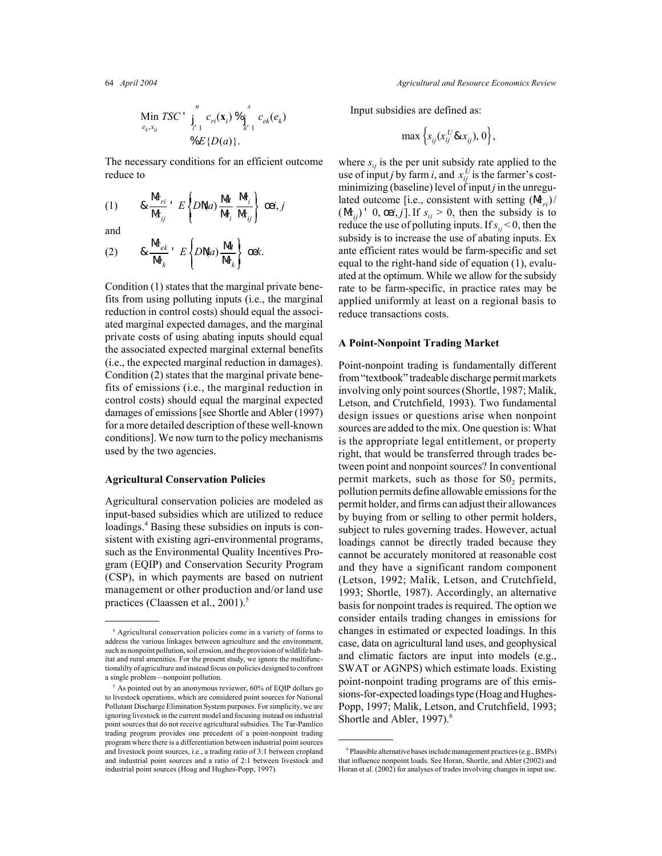$$
\begin{array}{ll}\n\text{Min } TSC' & \int_{i=1}^{n} c_{ri}(\mathbf{x}_i) \, \mathcal{C}_{i} & c_{ek}(e_k) \\
& \downarrow_{i=1}^{n} C_{i}(\mathbf{x}_i) \, \mathcal{C}_{i} & \downarrow_{i=1}^{n} C_{i} & c_{ek}(e_k)\n\end{array}
$$

The necessary conditions for an efficient outcome reduce to

$$
(1) \qquad \& \frac{\mathsf{M}_{ri}}{\mathsf{M}_{ij}} \cdot E\left\{D\mathsf{N}a\right\} \frac{\mathsf{M}}{\mathsf{M}_{i}} \frac{\mathsf{M}_{i}}{\mathsf{M}_{ij}} \left\{\begin{array}{c} \text{oei}, j \end{array}\right.
$$

and

$$
(2) \qquad \& \frac{\mathsf{M}_{ek}}{\mathsf{M}_{k}} \cdot E\left\{D\mathsf{N}(a)\frac{\mathsf{M}}{\mathsf{M}_{k}}\right\} \text{ cek.}
$$

Condition (1) states that the marginal private benefits from using polluting inputs (i.e., the marginal reduction in control costs) should equal the associated marginal expected damages, and the marginal private costs of using abating inputs should equal the associated expected marginal external benefits (i.e., the expected marginal reduction in damages). Condition (2) states that the marginal private benefits of emissions (i.e., the marginal reduction in control costs) should equal the marginal expected damages of emissions [see Shortle and Abler (1997) for a more detailed description of these well-known conditions]. We now turn to the policy mechanisms used by the two agencies.

#### **Agricultural Conservation Policies**

Agricultural conservation policies are modeled as input-based subsidies which are utilized to reduce loadings.<sup>4</sup> Basing these subsidies on inputs is consistent with existing agri-environmental programs, such as the Environmental Quality Incentives Program (EQIP) and Conservation Security Program (CSP), in which payments are based on nutrient management or other production and/or land use practices (Claassen et al., 2001).<sup>5</sup>

64 *April 2004 Agricultural and Resource Economics Review*

Input subsidies are defined as:

$$
\max\left\{s_{ij}(x_{ij}^U\& x_{ij}), 0\right\},\
$$

where  $s_{ij}$  is the per unit subsidy rate applied to the use of input *j* by farm *i*, and  $x_{ij}^U$  is the farmer's cost-<br>minimizing (baseline) level of input *j* in the unregulated outcome [i.e., consistent with setting  $(M_{ri})/$  $(M_{ii})'$  0, œ*i*, *j*]. If  $s_{ij} > 0$ , then the subsidy is to reduce the use of polluting inputs. If  $s_{ij}$  < 0, then the subsidy is to increase the use of abating inputs. Ex ante efficient rates would be farm-specific and set equal to the right-hand side of equation (1), evaluated at the optimum. While we allow for the subsidy rate to be farm-specific, in practice rates may be applied uniformly at least on a regional basis to reduce transactions costs.

#### **A Point-Nonpoint Trading Market**

Point-nonpoint trading is fundamentally different from "textbook" tradeable discharge permit markets involving only point sources (Shortle, 1987; Malik, Letson, and Crutchfield, 1993). Two fundamental design issues or questions arise when nonpoint sources are added to the mix. One question is: What is the appropriate legal entitlement, or property right, that would be transferred through trades between point and nonpoint sources? In conventional permit markets, such as those for  $S_0$ , permits, pollution permits define allowable emissions for the permit holder, and firms can adjust their allowances by buying from or selling to other permit holders, subject to rules governing trades. However, actual loadings cannot be directly traded because they cannot be accurately monitored at reasonable cost and they have a significant random component (Letson, 1992; Malik, Letson, and Crutchfield, 1993; Shortle, 1987). Accordingly, an alternative basis for nonpoint trades is required. The option we consider entails trading changes in emissions for changes in estimated or expected loadings. In this case, data on agricultural land uses, and geophysical and climatic factors are input into models (e.g., SWAT or AGNPS) which estimate loads. Existing point-nonpoint trading programs are of this emissions-for-expected loadings type (Hoag and Hughes-Popp, 1997; Malik, Letson, and Crutchfield, 1993; Shortle and Abler, 1997).<sup>6</sup>

<sup>4</sup> Agricultural conservation policies come in a variety of forms to address the various linkages between agriculture and the environment, such as nonpoint pollution, soil erosion, and the provision of wildlife habitat and rural amenities. For the present study, we ignore the multifunctionalilty of agriculture and instead focus on policies designed to confront a single problem—nonpoint pollution.

 $<sup>5</sup>$  As pointed out by an anonymous reviewer, 60% of EQIP dollars go</sup> to livestock operations, which are considered point sources for National Pollutant Discharge Elimination System purposes. For simplicity, we are ignoring livestock in the current model and focusing instead on industrial point sources that do not receive agricultural subsidies. The Tar-Pamlico trading program provides one precedent of a point-nonpoint trading program where there is a differentiation between industrial point sources and livestock point sources, i.e., a trading ratio of 3:1 between cropland and industrial point sources and a ratio of 2:1 between livestock and industrial point sources (Hoag and Hughes-Popp, 1997).

<sup>6</sup> Plausible alternative bases include management practices (e.g., BMPs) that influence nonpoint loads. See Horan, Shortle, and Abler (2002) and Horan et al. (2002) for analyses of trades involving changes in input use.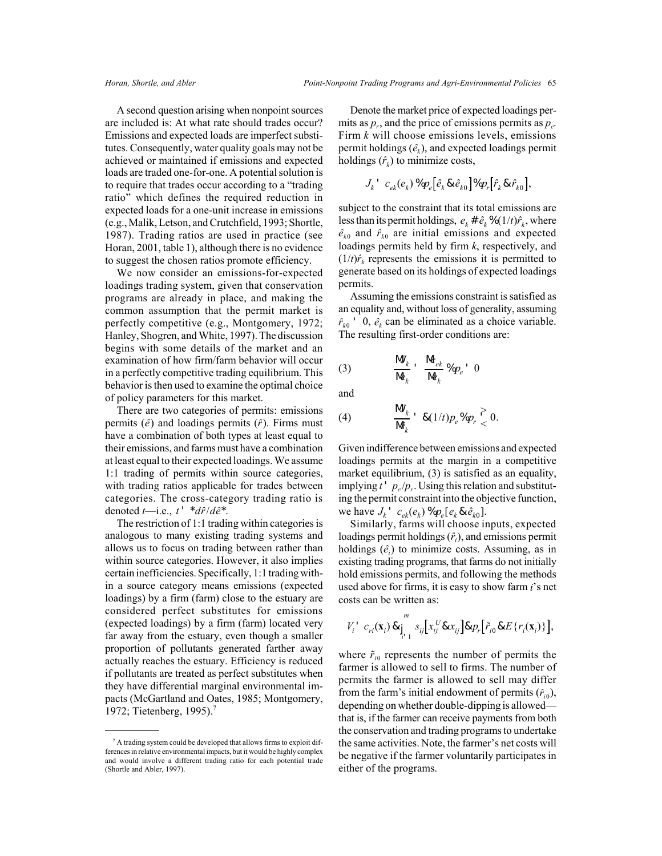A second question arising when nonpoint sources are included is: At what rate should trades occur? Emissions and expected loads are imperfect substitutes. Consequently, water quality goals may not be achieved or maintained if emissions and expected loads are traded one-for-one. A potential solution is to require that trades occur according to a "trading ratio" which defines the required reduction in expected loads for a one-unit increase in emissions (e.g., Malik, Letson, and Crutchfield, 1993; Shortle, 1987). Trading ratios are used in practice (see Horan, 2001, table 1), although there is no evidence to suggest the chosen ratios promote efficiency.

We now consider an emissions-for-expected loadings trading system, given that conservation programs are already in place, and making the common assumption that the permit market is perfectly competitive (e.g., Montgomery, 1972; Hanley, Shogren, and White, 1997). The discussion begins with some details of the market and an examination of how firm/farm behavior will occur in a perfectly competitive trading equilibrium. This behavior is then used to examine the optimal choice of policy parameters for this market.

There are two categories of permits: emissions permits  $(\hat{e})$  and loadings permits  $(\hat{r})$ . Firms must have a combination of both types at least equal to their emissions, and farms must have a combination at least equal to their expected loadings. We assume 1:1 trading of permits within source categories, with trading ratios applicable for trades between categories. The cross-category trading ratio is denoted  $t$ —i.e.,  $t'$   $*$ *d* $\hat{r}/d\hat{e}$  $*$ .

The restriction of 1:1 trading within categories is analogous to many existing trading systems and allows us to focus on trading between rather than within source categories. However, it also implies certain inefficiencies. Specifically, 1:1 trading within a source category means emissions (expected loadings) by a firm (farm) close to the estuary are considered perfect substitutes for emissions (expected loadings) by a firm (farm) located very far away from the estuary, even though a smaller proportion of pollutants generated farther away actually reaches the estuary. Efficiency is reduced if pollutants are treated as perfect substitutes when they have differential marginal environmental impacts (McGartland and Oates, 1985; Montgomery, 1972; Tietenberg, 1995).<sup>7</sup>

Denote the market price of expected loadings permits as  $p_r$ , and the price of emissions permits as  $p_e$ . Firm *k* will choose emissions levels, emissions permit holdings  $(\hat{e}_k)$ , and expected loadings permit holdings  $(\hat{r}_k)$  to minimize costs,

$$
J_k^{\;\prime}\;\;c_{ek}(e_k)\,\%p_e\big[\hat{e}_k\,\&\,\hat{e}_{k0}\big]\%p_r\big[\hat{r}_k\,\&\,\hat{r}_{k0}\big],
$$

subject to the constraint that its total emissions are less than its permit holdings,  $e_k \# \hat{e}_k \% (1/t) \hat{r}_k$ , where  $\hat{e}_{k0}$  and  $\hat{r}_{k0}$  are initial emissions and expected loadings permits held by firm *k*, respectively, and  $(1/t)\hat{r}$ <sub>k</sub> represents the emissions it is permitted to generate based on its holdings of expected loadings permits.

Assuming the emissions constraint is satisfied as an equality and, without loss of generality, assuming  $\hat{r}_{k0}$  ' 0,  $\hat{e}_k$  can be eliminated as a choice variable. The resulting first-order conditions are:

$$
(3) \qquad \frac{\mathsf{M}_k}{\mathsf{M}_k} \cdot \frac{\mathsf{M}_{ek}}{\mathsf{M}_k} \mathcal{D}_{p_e} \cdot 0
$$

and

$$
(4) \qquad \frac{\mathsf{M}_{k}}{\mathsf{M}_{k}} \cdot \mathcal{A}(1/t) p_{e} \mathcal{D}_{p_{r}} \geq 0.
$$

Given indifference between emissions and expected loadings permits at the margin in a competitive market equilibrium, (3) is satisfied as an equality, implying  $t'$   $p_e/p_r$ . Using this relation and substituting the permit constraint into the objective function, we have  $J_k$ <sup>'</sup>  $c_{ek}(e_k)$  % $p_e[e_k \& \hat{e}_{k0}]$ .

Similarly, farms will choose inputs, expected loadings permit holdings (*rˆi*), and emissions permit holdings  $(\hat{e}_i)$  to minimize costs. Assuming, as in existing trading programs, that farms do not initially hold emissions permits, and following the methods used above for firms, it is easy to show farm *i*'s net costs can be written as:

$$
V_i' \ c_{ri}(\mathbf{x}_i) \, \& \, \int_{i'1}^m s_{ij} \big[ x_{ij}^U \& x_{ij} \big] \& \, p_r \big[ \tilde{r}_{i0} \& E \{ r_i(\mathbf{x}_i) \} \big],
$$

where  $\tilde{r}_{i0}$  represents the number of permits the farmer is allowed to sell to firms. The number of permits the farmer is allowed to sell may differ from the farm's initial endowment of permits  $(\hat{r}_i)$ , depending on whether double-dipping is allowed that is, if the farmer can receive payments from both the conservation and trading programs to undertake the same activities. Note, the farmer's net costs will be negative if the farmer voluntarily participates in either of the programs.

<sup>7</sup> A trading system could be developed that allows firms to exploit differences in relative environmental impacts, but it would be highly complex and would involve a different trading ratio for each potential trade (Shortle and Abler, 1997).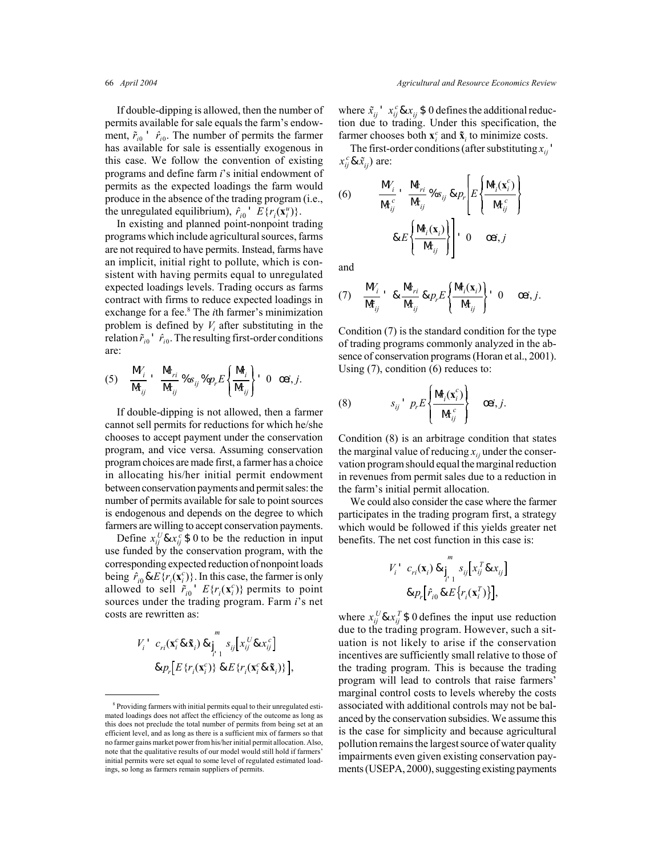If double-dipping is allowed, then the number of permits available for sale equals the farm's endowment,  $\tilde{r}_{i0}$  '  $\tilde{r}_{i0}$ . The number of permits the farmer has available for sale is essentially exogenous in this case. We follow the convention of existing programs and define farm *i*'s initial endowment of permits as the expected loadings the farm would produce in the absence of the trading program (i.e., the unregulated equilibrium),  $\hat{r}_{i0}$ <sup> $\in$ </sup>  $E\{r_i(\mathbf{x}_i^u)\}.$ 

In existing and planned point-nonpoint trading programs which include agricultural sources, farms are not required to have permits. Instead, farms have an implicit, initial right to pollute, which is consistent with having permits equal to unregulated expected loadings levels. Trading occurs as farms contract with firms to reduce expected loadings in exchange for a fee.<sup>8</sup> The *i*th farmer's minimization problem is defined by  $V_i$  after substituting in the relation  $\tilde{r}_{i0}$ <sup>'</sup>  $\hat{r}_{i0}$ . The resulting first-order conditions are:

$$
(5) \quad \frac{\mathsf{M}_i}{\mathsf{M}_{ij}} \cdot \frac{\mathsf{M}_{ri}}{\mathsf{M}_{ij}} \%_{S_{ij}} \%_{p_r} E\left\{\frac{\mathsf{M}_i}{\mathsf{M}_{ij}}\right\} \ 0 \ \ \text{or} \ j.
$$

If double-dipping is not allowed, then a farmer cannot sell permits for reductions for which he/she chooses to accept payment under the conservation program, and vice versa. Assuming conservation program choices are made first, a farmer has a choice in allocating his/her initial permit endowment between conservation payments and permit sales: the number of permits available for sale to point sources is endogenous and depends on the degree to which farmers are willing to accept conservation payments.

Define  $x_{ij}^U \& x_{ij}^c \$$  0 to be the reduction in input use funded by the conservation program, with the corresponding expected reduction of nonpoint loads being  $\hat{r}_{i0}$  &  $E\{r_i(\mathbf{x}_i^c)\}\)$ . In this case, the farmer is only allowed to sell  $\tilde{r}_{i0}$  '  $E\{r_i(\mathbf{x}_i^c)\}\)$  permits to point sources under the trading program. Farm *i*'s net costs are rewritten as:

$$
V_i' \ c_{ri}(\mathbf{x}_i^c \& \tilde{\mathbf{x}}_i) \& \int_{i=1}^m s_{ij} \Big[ x_{ij}^U \& x_{ij}^c \Big] \& p_r \Big[ E \{r_i(\mathbf{x}_i^c)\} \& E \{r_i(\mathbf{x}_i^c \& \tilde{\mathbf{x}}_i)\} \Big],
$$

where  $\tilde{x}_{ij}$ <sup> $\cdot$ </sup>  $x_{ij}^c$  &  $x_{ij}$  \$ 0 defines the additional reduction due to trading. Under this specification, the farmer chooses both  $\mathbf{x}_i^c$  and  $\mathbf{\tilde{x}}_i$  to minimize costs.

The first-order conditions (after substituting  $x_{ii}$ )  $x_{ij}^c \& \tilde{x}_{ij}$ ) are:

(6) 
$$
\frac{M_i'}{M_{ij}^c} \cdot \frac{M_{ri}}{M_{ij}} \%s_{ij} \& p_r \left[ E \left\{ \frac{M_i(\mathbf{x}_i^c)}{M_{ij}^c} \right\} \right]
$$

$$
\& E \left\{ \frac{M_i(\mathbf{x}_i)}{M_{ij}} \right\} \left[ 0 \quad \text{oa}, j \right]
$$

and

$$
(7) \quad \frac{\mathsf{M}_{i}}{\mathsf{M}_{ij}} \cdot \& \frac{\mathsf{M}_{ri}}{\mathsf{M}_{ij}} \& p_r E \left\{ \frac{\mathsf{M}_{i}(\mathbf{x}_{i})}{\mathsf{M}_{ij}} \right\} \cdot 0 \quad \text{or, } j.
$$

Condition (7) is the standard condition for the type of trading programs commonly analyzed in the absence of conservation programs (Horan et al., 2001). Using (7), condition (6) reduces to:

(8) 
$$
s_{ij} \cdot p_r E \left\{ \frac{M_i(\mathbf{x}_i^c)}{M_{ij}^c} \right\} \quad \text{ce}, j.
$$

Condition (8) is an arbitrage condition that states the marginal value of reducing  $x_{ij}$  under the conservation program should equal the marginal reduction in revenues from permit sales due to a reduction in the farm's initial permit allocation.

We could also consider the case where the farmer participates in the trading program first, a strategy which would be followed if this yields greater net benefits. The net cost function in this case is:

$$
V_i' \ c_{ri}(\mathbf{x}_i) \& \int_{i-1}^m s_{ij} \left[ x_{ij}^T \& x_{ij} \right]
$$
\n
$$
\& p_r \left[ \hat{r}_{i0} \& E \left\{ r_i(\mathbf{x}_i^T) \right\} \right],
$$

where  $x_{ij}^U \& x_{ij}^T \$$  0 defines the input use reduction due to the trading program. However, such a situation is not likely to arise if the conservation incentives are sufficiently small relative to those of the trading program. This is because the trading program will lead to controls that raise farmers' marginal control costs to levels whereby the costs associated with additional controls may not be balanced by the conservation subsidies. We assume this is the case for simplicity and because agricultural pollution remains the largest source of water quality impairments even given existing conservation payments (USEPA, 2000), suggesting existing payments

<sup>8</sup> Providing farmers with initial permits equal to their unregulated estimated loadings does not affect the efficiency of the outcome as long as this does not preclude the total number of permits from being set at an efficient level, and as long as there is a sufficient mix of farmers so that no farmer gains market power from his/her initial permit allocation. Also, note that the qualitative results of our model would still hold if farmers' initial permits were set equal to some level of regulated estimated loadings, so long as farmers remain suppliers of permits.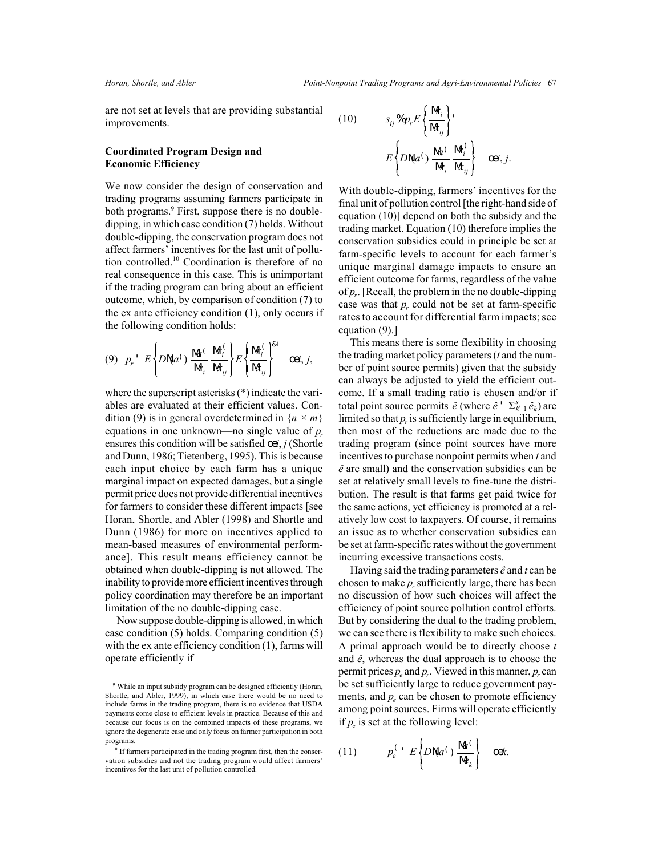are not set at levels that are providing substantial improvements.

### **Coordinated Program Design and Economic Efficiency**

We now consider the design of conservation and trading programs assuming farmers participate in both programs.<sup>9</sup> First, suppose there is no doubledipping, in which case condition (7) holds. Without double-dipping, the conservation program does not affect farmers' incentives for the last unit of pollution controlled.10 Coordination is therefore of no real consequence in this case. This is unimportant if the trading program can bring about an efficient outcome, which, by comparison of condition (7) to the ex ante efficiency condition (1), only occurs if the following condition holds:

$$
(9) \quad p_r \quad E\left\{DN a^{\langle\cdot\rangle} \frac{\mathsf{M}^{\langle}}{\mathsf{M}_i} \frac{\mathsf{M}_i^{\langle}}{\mathsf{M}_{ij}}\right\} E\left\{\frac{\mathsf{M}_i^{\langle}}{\mathsf{M}_{ij}}\right\}^{\&1} \quad \text{Ooi}, j,
$$

where the superscript asterisks (\*) indicate the variables are evaluated at their efficient values. Condition (9) is in general overdetermined in  ${n \times m}$ equations in one unknown—no single value of  $p_r$ ensures this condition will be satisfied  $cei$ , *j* (Shortle and Dunn, 1986; Tietenberg, 1995). This is because each input choice by each farm has a unique marginal impact on expected damages, but a single permit price does not provide differential incentives for farmers to consider these different impacts [see Horan, Shortle, and Abler (1998) and Shortle and Dunn (1986) for more on incentives applied to mean-based measures of environmental performance]. This result means efficiency cannot be obtained when double-dipping is not allowed. The inability to provide more efficient incentives through policy coordination may therefore be an important limitation of the no double-dipping case.

Now suppose double-dipping is allowed, in which case condition (5) holds. Comparing condition (5) with the ex ante efficiency condition (1), farms will operate efficiently if

(10) 
$$
s_{ij} \, \mathcal{S}_{p_r} E \left\{ \frac{\mathbf{M}_i}{\mathbf{M}_{ij}} \right\} \cdot
$$

$$
E \left\{ D \mathbf{N} a^{\langle} \right\} \frac{\mathbf{M}^{\langle}}{\mathbf{M}_i} \frac{\mathbf{M}_i^{\langle}}{\mathbf{M}_i} \right\} \quad \text{Oei}, j.
$$

With double-dipping, farmers' incentives for the final unit of pollution control [the right-hand side of equation (10)] depend on both the subsidy and the trading market. Equation (10) therefore implies the conservation subsidies could in principle be set at farm-specific levels to account for each farmer's unique marginal damage impacts to ensure an efficient outcome for farms, regardless of the value of *pr*. [Recall, the problem in the no double-dipping case was that  $p_r$  could not be set at farm-specific rates to account for differential farm impacts; see equation (9).]

This means there is some flexibility in choosing the trading market policy parameters (*t* and the number of point source permits) given that the subsidy can always be adjusted to yield the efficient outcome. If a small trading ratio is chosen and/or if total point source permits  $\hat{e}$  (where  $\hat{e}$ <sup>+</sup>  $\Sigma_{k+1}^s \hat{e}_k$ ) are limited so that  $p_r$  is sufficiently large in equilibrium, then most of the reductions are made due to the trading program (since point sources have more incentives to purchase nonpoint permits when *t* and *eˆ* are small) and the conservation subsidies can be set at relatively small levels to fine-tune the distribution. The result is that farms get paid twice for the same actions, yet efficiency is promoted at a relatively low cost to taxpayers. Of course, it remains an issue as to whether conservation subsidies can be set at farm-specific rates without the government incurring excessive transactions costs.

Having said the trading parameters  $\hat{e}$  and  $t$  can be chosen to make  $p_r$  sufficiently large, there has been no discussion of how such choices will affect the efficiency of point source pollution control efforts. But by considering the dual to the trading problem, we can see there is flexibility to make such choices. A primal approach would be to directly choose *t* and  $\hat{e}$ , whereas the dual approach is to choose the permit prices  $p_e$  and  $p_r$ . Viewed in this manner,  $p_r$  can be set sufficiently large to reduce government payments, and  $p_e$  can be chosen to promote efficiency among point sources. Firms will operate efficiently if  $p_e$  is set at the following level:

(11) 
$$
p_e^{(1)} E\left\{DN a^{(1)} \frac{M}{N a_k}\right\} \quad \text{cek.}
$$

<sup>&</sup>lt;sup>9</sup> While an input subsidy program can be designed efficiently (Horan, Shortle, and Abler, 1999), in which case there would be no need to include farms in the trading program, there is no evidence that USDA payments come close to efficient levels in practice. Because of this and because our focus is on the combined impacts of these programs, we ignore the degenerate case and only focus on farmer participation in both programs.

<sup>&</sup>lt;sup>10</sup> If farmers participated in the trading program first, then the conservation subsidies and not the trading program would affect farmers' incentives for the last unit of pollution controlled.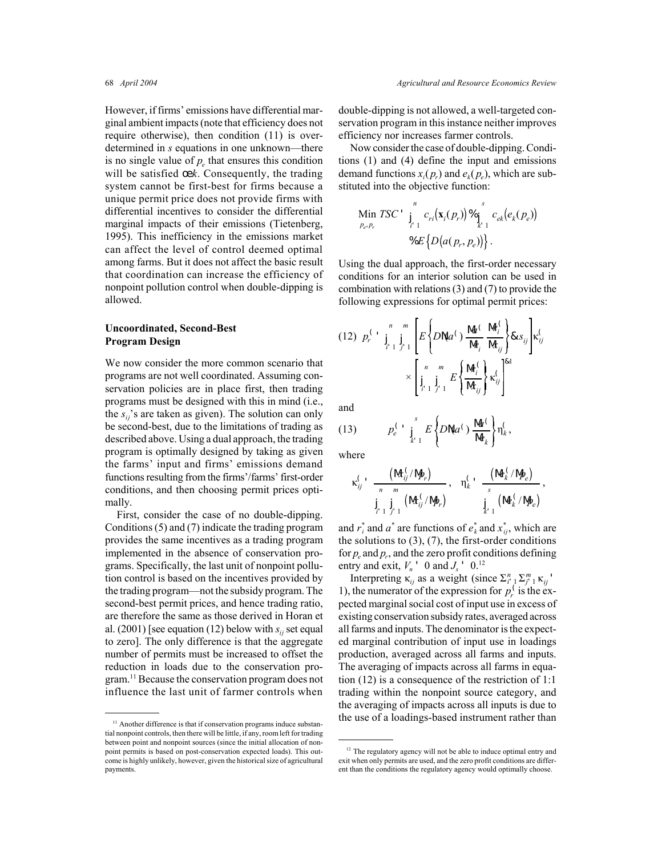However, if firms' emissions have differential marginal ambient impacts (note that efficiency does not require otherwise), then condition (11) is overdetermined in *s* equations in one unknown—there is no single value of  $p_e$  that ensures this condition will be satisfied œk. Consequently, the trading system cannot be first-best for firms because a unique permit price does not provide firms with differential incentives to consider the differential marginal impacts of their emissions (Tietenberg, 1995). This inefficiency in the emissions market can affect the level of control deemed optimal among farms. But it does not affect the basic result that coordination can increase the efficiency of nonpoint pollution control when double-dipping is allowed.

### **Uncoordinated, Second-Best Program Design**

We now consider the more common scenario that programs are not well coordinated. Assuming conservation policies are in place first, then trading programs must be designed with this in mind (i.e., the  $s_{ij}$ 's are taken as given). The solution can only be second-best, due to the limitations of trading as described above. Using a dual approach, the trading program is optimally designed by taking as given the farms' input and firms' emissions demand functions resulting from the firms'/farms' first-order conditions, and then choosing permit prices optimally.

First, consider the case of no double-dipping. Conditions (5) and (7) indicate the trading program provides the same incentives as a trading program implemented in the absence of conservation programs. Specifically, the last unit of nonpoint pollution control is based on the incentives provided by the trading program—not the subsidy program. The second-best permit prices, and hence trading ratio, are therefore the same as those derived in Horan et al.  $(2001)$  [see equation (12) below with  $s_{ii}$  set equal to zero]. The only difference is that the aggregate number of permits must be increased to offset the reduction in loads due to the conservation program.11 Because the conservation program does not influence the last unit of farmer controls when

double-dipping is not allowed, a well-targeted conservation program in this instance neither improves efficiency nor increases farmer controls.

Now consider the case of double-dipping. Conditions (1) and (4) define the input and emissions demand functions  $x_i(p_r)$  and  $e_k(p_e)$ , which are substituted into the objective function:

$$
\begin{aligned}\n\text{Min } TSC' &\int_{i=1}^{n} c_{ri} (\mathbf{x}_i(p_r)) \, \mathcal{C}_{\mathbf{j}}^s c_{ek} (e_k(p_e)) \\
&\approx E \left\{ D \big( a(p_r, p_e) \big) \right\}.\n\end{aligned}
$$

Using the dual approach, the first-order necessary conditions for an interior solution can be used in combination with relations (3) and (7) to provide the following expressions for optimal permit prices:

$$
(12) \ \ p_r^{(1)} \prod_{i=1}^n \prod_{j=1}^m E\left\{DN a^{(1)} \frac{M_1^{\ell}}{M_i} \frac{M_i^{\ell}}{M_{ij}}\right\} & s_{ij} \Bigg\} \kappa_{ij}^{(1)} \\
 \times \left[\prod_{i=1}^n \prod_{j=1}^m E\left\{\frac{M_i^{\ell}}{M_{ij}}\right\} \kappa_{ij}^{\ell}\right]^{k_1}
$$

and

(13) 
$$
p_e^{\left(1\atop{ s\atop s} \right)} \prod_{k=1}^s E\left\{DN a^{\left(1\atop{ s\atop s} \right)} \frac{N a^{\left(1\atop{ s} \right)}}{N a_k}\right\} \eta_k^{\left(1\atop{ s\atop s} \right)}.
$$

where

$$
\kappa_{ij}^{\zeta} \cdot \frac{\left(M_{ij}^{\zeta}/N_{\!P}^{\zeta}\right)}{\prod\limits_{j=1}^{n} \prod\limits_{j=1}^{m} \left(M_{ij}^{\zeta}/N_{\!P}^{\zeta}\right)}, \quad \eta_k^{\zeta} \cdot \frac{\left(M_k^{\zeta}/N_{\!P}^{\zeta}\right)}{\prod\limits_{k=1}^{s} \left(M_k^{\zeta}/N_{\!P}^{\zeta}\right)},
$$

and  $r_i^*$  and  $a^*$  are functions of  $e_k^*$  and  $x_{ij}^*$ , which are the solutions to  $(3)$ ,  $(7)$ , the first-order conditions for  $p_e$  and  $p_r$ , and the zero profit conditions defining entry and exit,  $V_n$ <sup>'</sup> 0 and  $J_s$ <sup>'</sup> 0.<sup>12</sup>

Interpreting  $\kappa_{ij}$  as a weight (since  $\sum_{i=1}^{n} \sum_{j=1}^{m} \kappa_{ij}$ ) 1), the numerator of the expression for  $p_r^{\prime}$  is the expected marginal social cost of input use in excess of existing conservation subsidy rates, averaged across all farms and inputs. The denominator is the expected marginal contribution of input use in loadings production, averaged across all farms and inputs. The averaging of impacts across all farms in equation (12) is a consequence of the restriction of 1:1 trading within the nonpoint source category, and the averaging of impacts across all inputs is due to <sup>11</sup> Another difference is that if conservation programs induce substan-<br>
<sup>11</sup> Another difference is that if conservation programs induce substan-

tial nonpoint controls, then there will be little, if any, room left for trading between point and nonpoint sources (since the initial allocation of nonpoint permits is based on post-conservation expected loads). This outcome is highly unlikely, however, given the historical size of agricultural payments.

<sup>&</sup>lt;sup>12</sup> The regulatory agency will not be able to induce optimal entry and exit when only permits are used, and the zero profit conditions are different than the conditions the regulatory agency would optimally choose.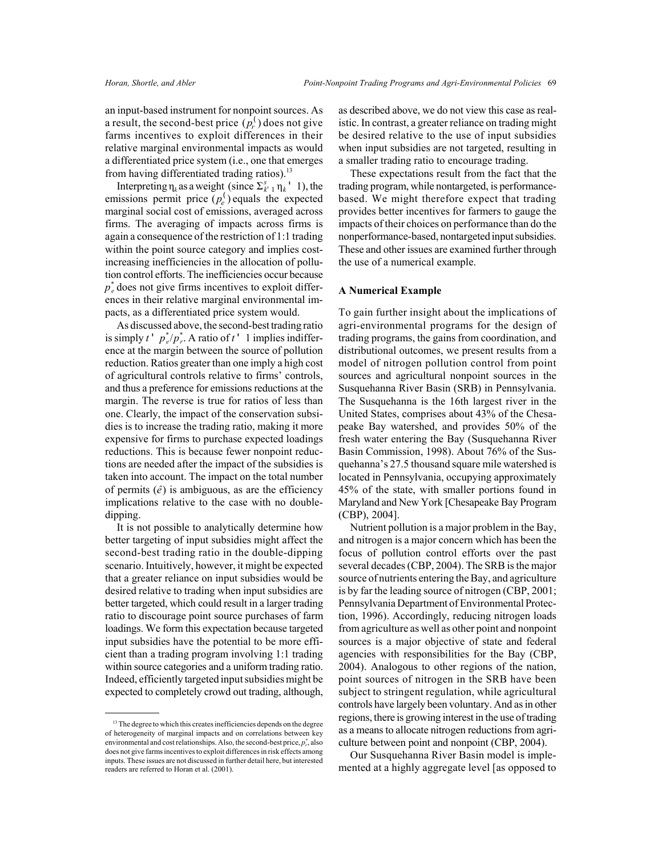an input-based instrument for nonpoint sources. As a result, the second-best price  $(\overline{p}_r^{\prime})$  does not give farms incentives to exploit differences in their relative marginal environmental impacts as would a differentiated price system (i.e., one that emerges from having differentiated trading ratios).<sup>13</sup>

Interpreting  $\eta_k$  as a weight (since  $\Sigma_{k+1}^s \eta_k'$  1), the emissions permit price  $(p_e^{\prime})$  equals the expected marginal social cost of emissions, averaged across firms. The averaging of impacts across firms is again a consequence of the restriction of 1:1 trading within the point source category and implies costincreasing inefficiencies in the allocation of pollution control efforts. The inefficiencies occur because  $p_e^*$  does not give firms incentives to exploit differences in their relative marginal environmental impacts, as a differentiated price system would.

As discussed above, the second-best trading ratio is simply  $t' p^*_{e}/p^*_{r}$ . A ratio of  $t'$  1 implies indifference at the margin between the source of pollution reduction. Ratios greater than one imply a high cost of agricultural controls relative to firms' controls, and thus a preference for emissions reductions at the margin. The reverse is true for ratios of less than one. Clearly, the impact of the conservation subsidies is to increase the trading ratio, making it more expensive for firms to purchase expected loadings reductions. This is because fewer nonpoint reductions are needed after the impact of the subsidies is taken into account. The impact on the total number of permits  $(\hat{e})$  is ambiguous, as are the efficiency implications relative to the case with no doubledipping.

It is not possible to analytically determine how better targeting of input subsidies might affect the second-best trading ratio in the double-dipping scenario. Intuitively, however, it might be expected that a greater reliance on input subsidies would be desired relative to trading when input subsidies are better targeted, which could result in a larger trading ratio to discourage point source purchases of farm loadings. We form this expectation because targeted input subsidies have the potential to be more efficient than a trading program involving 1:1 trading within source categories and a uniform trading ratio. Indeed, efficiently targeted input subsidies might be expected to completely crowd out trading, although,

as described above, we do not view this case as realistic. In contrast, a greater reliance on trading might be desired relative to the use of input subsidies when input subsidies are not targeted, resulting in a smaller trading ratio to encourage trading.

These expectations result from the fact that the trading program, while nontargeted, is performancebased. We might therefore expect that trading provides better incentives for farmers to gauge the impacts of their choices on performance than do the nonperformance-based, nontargeted input subsidies. These and other issues are examined further through the use of a numerical example.

#### **A Numerical Example**

To gain further insight about the implications of agri-environmental programs for the design of trading programs, the gains from coordination, and distributional outcomes, we present results from a model of nitrogen pollution control from point sources and agricultural nonpoint sources in the Susquehanna River Basin (SRB) in Pennsylvania. The Susquehanna is the 16th largest river in the United States, comprises about 43% of the Chesapeake Bay watershed, and provides 50% of the fresh water entering the Bay (Susquehanna River Basin Commission, 1998). About 76% of the Susquehanna's 27.5 thousand square mile watershed is located in Pennsylvania, occupying approximately 45% of the state, with smaller portions found in Maryland and New York [Chesapeake Bay Program (CBP), 2004].

Nutrient pollution is a major problem in the Bay, and nitrogen is a major concern which has been the focus of pollution control efforts over the past several decades (CBP, 2004). The SRB is the major source of nutrients entering the Bay, and agriculture is by far the leading source of nitrogen (CBP, 2001; Pennsylvania Department of Environmental Protection, 1996). Accordingly, reducing nitrogen loads from agriculture as well as other point and nonpoint sources is a major objective of state and federal agencies with responsibilities for the Bay (CBP, 2004). Analogous to other regions of the nation, point sources of nitrogen in the SRB have been subject to stringent regulation, while agricultural controls have largely been voluntary. And as in other regions, there is growing interest in the use of trading as a means to allocate nitrogen reductions from agriculture between point and nonpoint (CBP, 2004).

Our Susquehanna River Basin model is implemented at a highly aggregate level [as opposed to

<sup>&</sup>lt;sup>13</sup> The degree to which this creates inefficiencies depends on the degree of heterogeneity of marginal impacts and on correlations between key environmental and cost relationships. Also, the second-best price,  $p^*_{r}$ , also does not give farms incentives to exploit differences in risk effects among inputs. These issues are not discussed in further detail here, but interested readers are referred to Horan et al. (2001).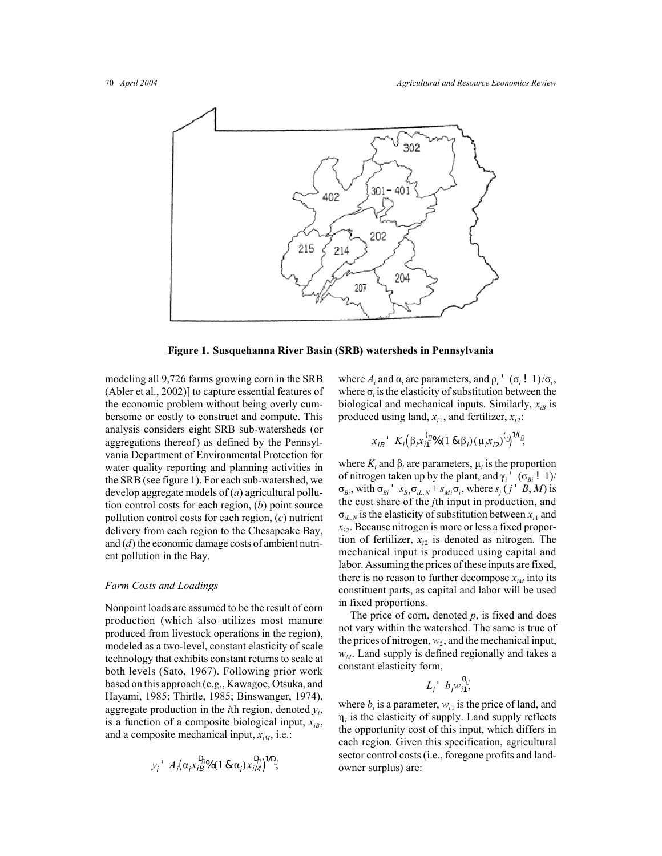

**Figure 1. Susquehanna River Basin (SRB) watersheds in Pennsylvania**

modeling all 9,726 farms growing corn in the SRB (Abler et al., 2002)] to capture essential features of the economic problem without being overly cumbersome or costly to construct and compute. This analysis considers eight SRB sub-watersheds (or aggregations thereof) as defined by the Pennsylvania Department of Environmental Protection for water quality reporting and planning activities in the SRB (see figure 1). For each sub-watershed, we develop aggregate models of (*a*) agricultural pollution control costs for each region, (*b*) point source pollution control costs for each region, (*c*) nutrient delivery from each region to the Chesapeake Bay, and (*d*) the economic damage costs of ambient nutrient pollution in the Bay.

#### *Farm Costs and Loadings*

Nonpoint loads are assumed to be the result of corn production (which also utilizes most manure produced from livestock operations in the region), modeled as a two-level, constant elasticity of scale technology that exhibits constant returns to scale at both levels (Sato, 1967). Following prior work based on this approach (e.g., Kawagoe, Otsuka, and Hayami, 1985; Thirtle, 1985; Binswanger, 1974), aggregate production in the *i*th region, denoted *yi*, is a function of a composite biological input,  $x_{ik}$ , and a composite mechanical input,  $x_{iM}$ , i.e.:

$$
y_i \cdot A_i \big( \alpha_i x_{iB}^D \cdot \delta(1 \otimes \alpha_i) x_{iM}^D \big)^{1/D},
$$

where  $A_i$  and  $\alpha_i$  are parameters, and  $\rho_i$ <sup>'</sup>  $(\sigma_i!$  1)/ $\sigma_i$ , where  $\sigma_i$  is the elasticity of substitution between the biological and mechanical inputs. Similarly,  $x_{iB}$  is produced using land,  $x_{i1}$ , and fertilizer,  $x_{i2}$ :

$$
x_{iB}
$$
  $K_i(\beta_i x_{i1}^{\binom{6}{2}} \cdot (1 \& \beta_i) (\mu_i x_{i2})^{\binom{6}{2}} \cdot)^{1/\binom{6}{2}}$ 

where  $K_i$  and  $\beta_i$  are parameters,  $\mu_i$  is the proportion of nitrogen taken up by the plant, and  $\gamma_i$ <sup>'</sup> ( $\sigma_{Bi}$ ! 1)/  $\sigma_{B_i}$ , with  $\sigma_{B_i}$ <sup>'</sup>  $s_{B_i}\sigma_{iL,N} + s_{Mi}\sigma_i$ , where  $s_j(j' B, M)$  is the cost share of the *j*th input in production, and  $\sigma_{iL,N}$  is the elasticity of substitution between  $x_{i1}$  and *xi*2. Because nitrogen is more or less a fixed proportion of fertilizer,  $x_{i2}$  is denoted as nitrogen. The mechanical input is produced using capital and labor. Assuming the prices of these inputs are fixed, there is no reason to further decompose  $x_{iM}$  into its constituent parts, as capital and labor will be used in fixed proportions.

The price of corn, denoted *p*, is fixed and does not vary within the watershed. The same is true of the prices of nitrogen,  $w_2$ , and the mechanical input,  $w_M$ . Land supply is defined regionally and takes a constant elasticity form,

$$
L_i \, b_i w_{i1}^0,
$$

where  $b_i$  is a parameter,  $w_{i1}$  is the price of land, and  $\eta_i$  is the elasticity of supply. Land supply reflects the opportunity cost of this input, which differs in each region. Given this specification, agricultural sector control costs (i.e., foregone profits and landowner surplus) are: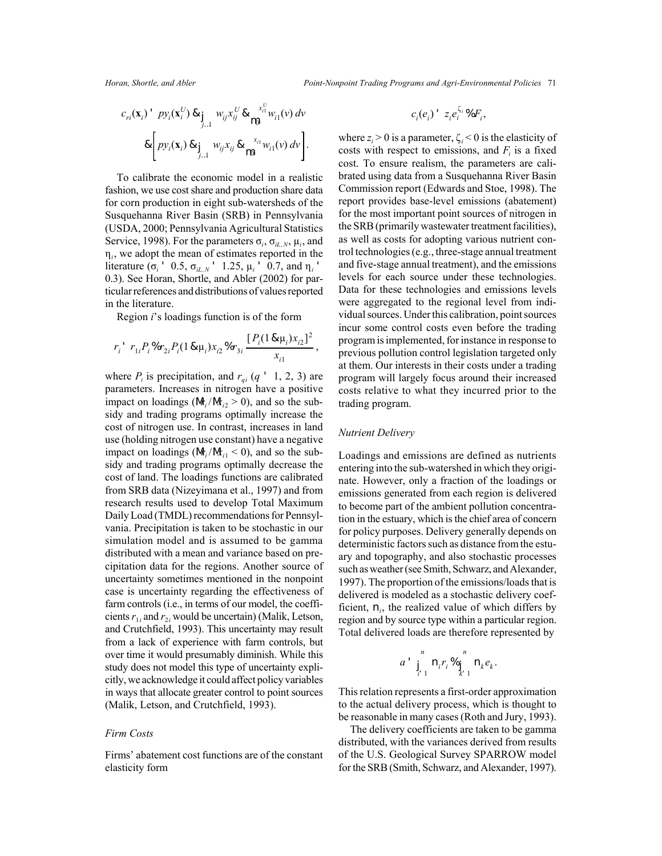$$
c_{ri}(\mathbf{x}_i) \cdot p y_i(\mathbf{x}_i^U) \& \int_{j\ldots 1} w_{ij} x_{ij}^U \& \bigwedge_{i=1}^{x_{ii}^U} w_{i1}(v) \, dv
$$
\n
$$
\& \left[ p y_i(\mathbf{x}_i) \& \int_{j\ldots 1} w_{ij} x_{ij} \& \bigwedge_{i=1}^{x_{i1}} w_{i1}(v) \, dv \right].
$$

To calibrate the economic model in a realistic fashion, we use cost share and production share data for corn production in eight sub-watersheds of the Susquehanna River Basin (SRB) in Pennsylvania (USDA, 2000; Pennsylvania Agricultural Statistics Service, 1998). For the parameters  $\sigma_i$ ,  $\sigma_{iL,N}$ ,  $\mu_i$ , and η*i*, we adopt the mean of estimates reported in the literature (σ<sub>*i*</sub> ' 0.5, σ<sub>*iL,N*</sub> ' 1.25,  $\mu_i$  ' 0.7, and  $\eta_i$ ' 0.3). See Horan, Shortle, and Abler (2002) for particular references and distributions of values reported in the literature.

Region *i*'s loadings function is of the form

$$
r_i^{\ \prime} \ r_{1i} P_i^{\ \gamma} \delta r_{2i} P_i (1 \& \mu_i) x_{i2}^{\ \gamma} \delta r_{3i} \frac{[P_i (1 \& \mu_i) x_{i2}]^2}{x_{i1}},
$$

where  $P_i$  is precipitation, and  $r_{qi}$  ( $q'$  1, 2, 3) are parameters. Increases in nitrogen have a positive impact on loadings ( $M_i/M_i \geq 0$ ), and so the subsidy and trading programs optimally increase the cost of nitrogen use. In contrast, increases in land use (holding nitrogen use constant) have a negative impact on loadings ( $M_i/M_{i}$  < 0), and so the subsidy and trading programs optimally decrease the cost of land. The loadings functions are calibrated from SRB data (Nizeyimana et al., 1997) and from research results used to develop Total Maximum Daily Load (TMDL) recommendations for Pennsylvania. Precipitation is taken to be stochastic in our simulation model and is assumed to be gamma distributed with a mean and variance based on precipitation data for the regions. Another source of uncertainty sometimes mentioned in the nonpoint case is uncertainty regarding the effectiveness of farm controls (i.e., in terms of our model, the coefficients  $r_{1i}$  and  $r_{2i}$  would be uncertain) (Malik, Letson, and Crutchfield, 1993). This uncertainty may result from a lack of experience with farm controls, but over time it would presumably diminish. While this study does not model this type of uncertainty explicitly, we acknowledge it could affect policy variables in ways that allocate greater control to point sources (Malik, Letson, and Crutchfield, 1993).

#### *Firm Costs*

Firms' abatement cost functions are of the constant elasticity form

$$
c_i(e_i) - z_i e_i^{\zeta_i} \mathcal{U} F_i,
$$

where  $z_i > 0$  is a parameter,  $\zeta_i < 0$  is the elasticity of costs with respect to emissions, and  $F_i$  is a fixed cost. To ensure realism, the parameters are calibrated using data from a Susquehanna River Basin Commission report (Edwards and Stoe, 1998). The report provides base-level emissions (abatement) for the most important point sources of nitrogen in the SRB (primarily wastewater treatment facilities), as well as costs for adopting various nutrient control technologies (e.g., three-stage annual treatment and five-stage annual treatment), and the emissions levels for each source under these technologies. Data for these technologies and emissions levels were aggregated to the regional level from individual sources. Under this calibration, point sources incur some control costs even before the trading program is implemented, for instance in response to previous pollution control legislation targeted only at them. Our interests in their costs under a trading program will largely focus around their increased costs relative to what they incurred prior to the trading program.

#### *Nutrient Delivery*

Loadings and emissions are defined as nutrients entering into the sub-watershed in which they originate. However, only a fraction of the loadings or emissions generated from each region is delivered to become part of the ambient pollution concentration in the estuary, which is the chief area of concern for policy purposes. Delivery generally depends on deterministic factors such as distance from the estuary and topography, and also stochastic processes such as weather (see Smith, Schwarz, and Alexander, 1997). The proportion of the emissions/loads that is delivered is modeled as a stochastic delivery coefficient, n*i*, the realized value of which differs by region and by source type within a particular region. Total delivered loads are therefore represented by

$$
a \prod_{i=1}^n n_i r_i \otimes_{\prod_{k=1}^n n_k e_k}^n.
$$

This relation represents a first-order approximation to the actual delivery process, which is thought to be reasonable in many cases (Roth and Jury, 1993).

The delivery coefficients are taken to be gamma distributed, with the variances derived from results of the U.S. Geological Survey SPARROW model for the SRB (Smith, Schwarz, and Alexander, 1997).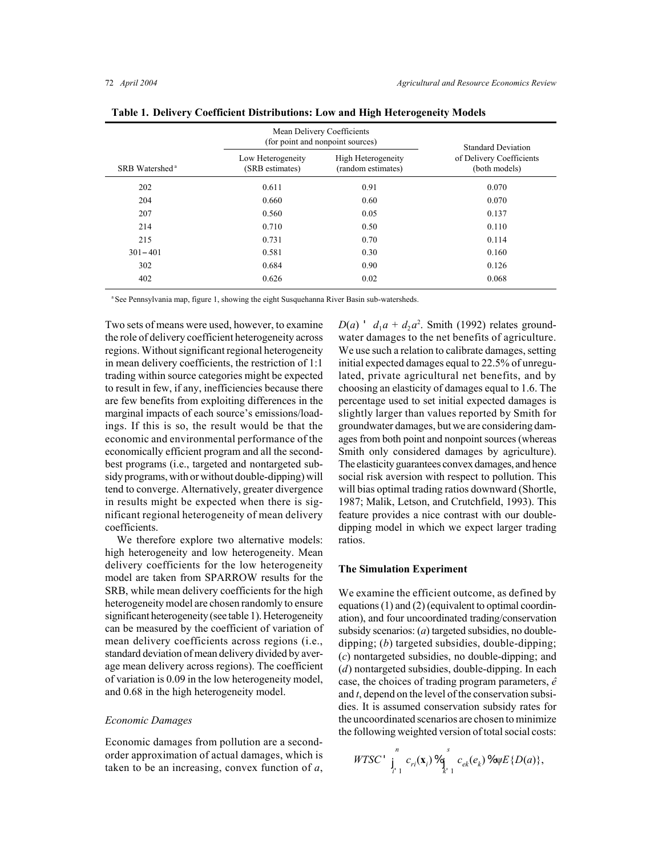|                            | Mean Delivery Coefficients<br>(for point and nonpoint sources) | <b>Standard Deviation</b>                |                                           |  |
|----------------------------|----------------------------------------------------------------|------------------------------------------|-------------------------------------------|--|
| SRB Watershed <sup>a</sup> | Low Heterogeneity<br>(SRB estimates)                           | High Heterogeneity<br>(random estimates) | of Delivery Coefficients<br>(both models) |  |
| 202                        | 0.611                                                          | 0.91                                     | 0.070                                     |  |
| 204                        | 0.660                                                          | 0.60                                     | 0.070                                     |  |
| 207                        | 0.560                                                          | 0.05                                     | 0.137                                     |  |
| 214                        | 0.710                                                          | 0.50                                     | 0.110                                     |  |
| 215                        | 0.731                                                          | 0.70                                     | 0.114                                     |  |
| $301 - 401$                | 0.581                                                          | 0.30                                     | 0.160                                     |  |
| 302                        | 0.684                                                          | 0.90                                     | 0.126                                     |  |
| 402                        | 0.626                                                          | 0.02                                     | 0.068                                     |  |

**Table 1. Delivery Coefficient Distributions: Low and High Heterogeneity Models**

<sup>a</sup> See Pennsylvania map, figure 1, showing the eight Susquehanna River Basin sub-watersheds.

Two sets of means were used, however, to examine the role of delivery coefficient heterogeneity across regions. Without significant regional heterogeneity in mean delivery coefficients, the restriction of 1:1 trading within source categories might be expected to result in few, if any, inefficiencies because there are few benefits from exploiting differences in the marginal impacts of each source's emissions/loadings. If this is so, the result would be that the economic and environmental performance of the economically efficient program and all the secondbest programs (i.e., targeted and nontargeted subsidy programs, with or without double-dipping) will tend to converge. Alternatively, greater divergence in results might be expected when there is significant regional heterogeneity of mean delivery coefficients.

We therefore explore two alternative models: high heterogeneity and low heterogeneity. Mean delivery coefficients for the low heterogeneity model are taken from SPARROW results for the SRB, while mean delivery coefficients for the high heterogeneity model are chosen randomly to ensure significant heterogeneity (see table 1). Heterogeneity can be measured by the coefficient of variation of mean delivery coefficients across regions (i.e., standard deviation of mean delivery divided by average mean delivery across regions). The coefficient of variation is 0.09 in the low heterogeneity model, and 0.68 in the high heterogeneity model.

#### *Economic Damages*

Economic damages from pollution are a secondorder approximation of actual damages, which is taken to be an increasing, convex function of *a*,

 $D(a)$  '  $d_1a + d_2a^2$ . Smith (1992) relates groundwater damages to the net benefits of agriculture. We use such a relation to calibrate damages, setting initial expected damages equal to 22.5% of unregulated, private agricultural net benefits, and by choosing an elasticity of damages equal to 1.6. The percentage used to set initial expected damages is slightly larger than values reported by Smith for groundwater damages, but we are considering damages from both point and nonpoint sources (whereas Smith only considered damages by agriculture). The elasticity guarantees convex damages, and hence social risk aversion with respect to pollution. This will bias optimal trading ratios downward (Shortle, 1987; Malik, Letson, and Crutchfield, 1993). This feature provides a nice contrast with our doubledipping model in which we expect larger trading ratios.

#### **The Simulation Experiment**

We examine the efficient outcome, as defined by equations (1) and (2) (equivalent to optimal coordination), and four uncoordinated trading/conservation subsidy scenarios: (*a*) targeted subsidies, no doubledipping; (*b*) targeted subsidies, double-dipping; (*c*) nontargeted subsidies, no double-dipping; and (*d*) nontargeted subsidies, double-dipping. In each case, the choices of trading program parameters,  $\hat{e}$ and *t*, depend on the level of the conservation subsidies. It is assumed conservation subsidy rates for the uncoordinated scenarios are chosen to minimize the following weighted version of total social costs:

$$
WTSC' \int_{i=1}^{n} c_{ri}(\mathbf{x}_i) \, \mathcal{C}_{\mathbf{R}}(e_k) \, \mathcal{C}_{ek}(e_k) \, \mathcal{C}_{\mathbf{W}}(E\{D(a)\},\,
$$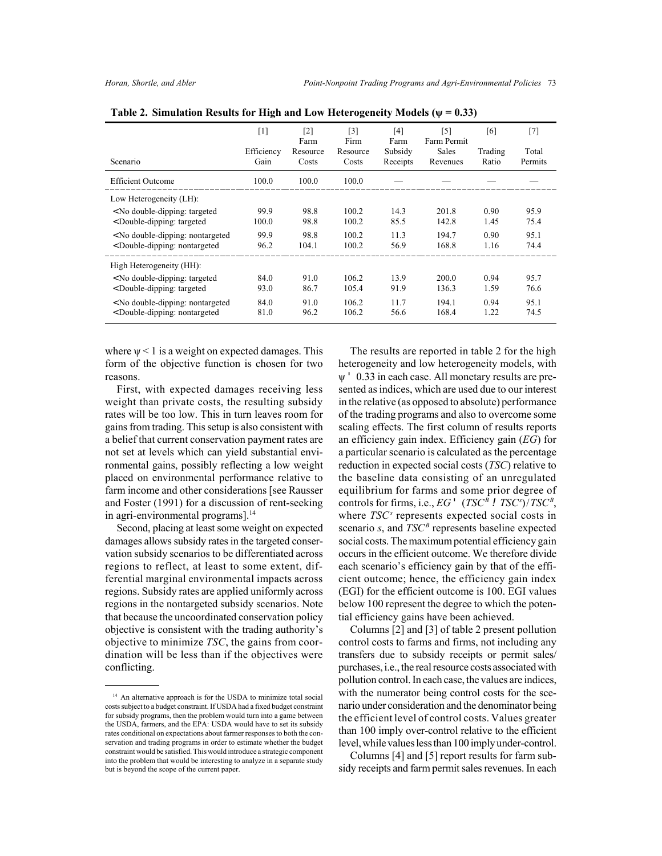|                                                                                                                                                        | $[1]$<br>Efficiency | $\lceil 2 \rceil$<br>Farm<br>Resource | $\lceil 3 \rceil$<br>Firm<br>Resource | [4]<br>Farm<br>Subsidy | [5]<br>Farm Permit<br><b>Sales</b> | [6]<br>Trading | [7]<br>Total |
|--------------------------------------------------------------------------------------------------------------------------------------------------------|---------------------|---------------------------------------|---------------------------------------|------------------------|------------------------------------|----------------|--------------|
| Scenario                                                                                                                                               | Gain                | Costs                                 | Costs                                 | Receipts               | Revenues                           | Ratio          | Permits      |
| <b>Efficient Outcome</b>                                                                                                                               | 100.0               | 100.0                                 | 100.0                                 |                        |                                    |                |              |
| Low Heterogeneity (LH):                                                                                                                                |                     |                                       |                                       |                        |                                    |                |              |
| <no double-dipping:="" targeted<="" td=""><td>99.9</td><td>98.8</td><td>100.2</td><td>14.3</td><td>201.8</td><td>0.90</td><td>95.9</td></no>           | 99.9                | 98.8                                  | 100.2                                 | 14.3                   | 201.8                              | 0.90           | 95.9         |
| <double-dipping: targeted<="" td=""><td>100.0</td><td>98.8</td><td>100.2</td><td>85.5</td><td>142.8</td><td>1.45</td><td>75.4</td></double-dipping:>   | 100.0               | 98.8                                  | 100.2                                 | 85.5                   | 142.8                              | 1.45           | 75.4         |
| < No double-dipping: nontargeted                                                                                                                       | 99.9                | 98.8                                  | 100.2                                 | 11.3                   | 194.7                              | 0.90           | 95.1         |
| < Double-dipping: nontargeted                                                                                                                          | 96.2                | 104.1                                 | 100.2                                 | 56.9                   | 168.8                              | 1.16           | 74.4         |
| High Heterogeneity (HH):                                                                                                                               |                     |                                       |                                       |                        |                                    |                |              |
| <no double-dipping:="" targeted<="" td=""><td>84.0</td><td>91.0</td><td>106.2</td><td>13.9</td><td>200.0</td><td>0.94</td><td>95.7</td></no>           | 84.0                | 91.0                                  | 106.2                                 | 13.9                   | 200.0                              | 0.94           | 95.7         |
| <double-dipping: targeted<="" td=""><td>93.0</td><td>86.7</td><td>105.4</td><td>91.9</td><td>136.3</td><td>1.59</td><td>76.6</td></double-dipping:>    | 93.0                | 86.7                                  | 105.4                                 | 91.9                   | 136.3                              | 1.59           | 76.6         |
| < No double-dipping: nontargeted                                                                                                                       | 84.0                | 91.0                                  | 106.2                                 | 11.7                   | 194.1                              | 0.94           | 95.1         |
| <double-dipping: nontargeted<="" td=""><td>81.0</td><td>96.2</td><td>106.2</td><td>56.6</td><td>168.4</td><td>1.22</td><td>74.5</td></double-dipping:> | 81.0                | 96.2                                  | 106.2                                 | 56.6                   | 168.4                              | 1.22           | 74.5         |

Table 2. Simulation Results for High and Low Heterogeneity Models ( $\psi$  = 0.33)

where  $\psi$  < 1 is a weight on expected damages. This form of the objective function is chosen for two reasons.

First, with expected damages receiving less weight than private costs, the resulting subsidy rates will be too low. This in turn leaves room for gains from trading. This setup is also consistent with a belief that current conservation payment rates are not set at levels which can yield substantial environmental gains, possibly reflecting a low weight placed on environmental performance relative to farm income and other considerations [see Rausser and Foster (1991) for a discussion of rent-seeking in agri-environmental programs].<sup>14</sup>

Second, placing at least some weight on expected damages allows subsidy rates in the targeted conservation subsidy scenarios to be differentiated across regions to reflect, at least to some extent, differential marginal environmental impacts across regions. Subsidy rates are applied uniformly across regions in the nontargeted subsidy scenarios. Note that because the uncoordinated conservation policy objective is consistent with the trading authority's objective to minimize *TSC*, the gains from coordination will be less than if the objectives were conflicting.

The results are reported in table 2 for the high heterogeneity and low heterogeneity models, with ψ ' 0.33 in each case. All monetary results are presented as indices, which are used due to our interest in the relative (as opposed to absolute) performance of the trading programs and also to overcome some scaling effects. The first column of results reports an efficiency gain index. Efficiency gain (*EG*) for a particular scenario is calculated as the percentage reduction in expected social costs (*TSC*) relative to the baseline data consisting of an unregulated equilibrium for farms and some prior degree of controls for firms, i.e.,  $EG'$  ( $TSC^B$  !  $TSC^s$ )/ $TSC^B$ , where *TSC<sup>s</sup>* represents expected social costs in scenario  $s$ , and  $TSC^B$  represents baseline expected social costs. The maximum potential efficiency gain occurs in the efficient outcome. We therefore divide each scenario's efficiency gain by that of the efficient outcome; hence, the efficiency gain index (EGI) for the efficient outcome is 100. EGI values below 100 represent the degree to which the potential efficiency gains have been achieved.

Columns [2] and [3] of table 2 present pollution control costs to farms and firms, not including any transfers due to subsidy receipts or permit sales/ purchases, i.e., the real resource costs associated with pollution control. In each case, the values are indices, with the numerator being control costs for the scenario under consideration and the denominator being the efficient level of control costs. Values greater than 100 imply over-control relative to the efficient level, while values less than 100 imply under-control.

Columns [4] and [5] report results for farm subsidy receipts and farm permit sales revenues. In each

<sup>&</sup>lt;sup>14</sup> An alternative approach is for the USDA to minimize total social costs subject to a budget constraint. If USDA had a fixed budget constraint for subsidy programs, then the problem would turn into a game between the USDA, farmers, and the EPA: USDA would have to set its subsidy rates conditional on expectations about farmer responses to both the conservation and trading programs in order to estimate whether the budget constraint would be satisfied. This would introduce a strategic component into the problem that would be interesting to analyze in a separate study but is beyond the scope of the current paper.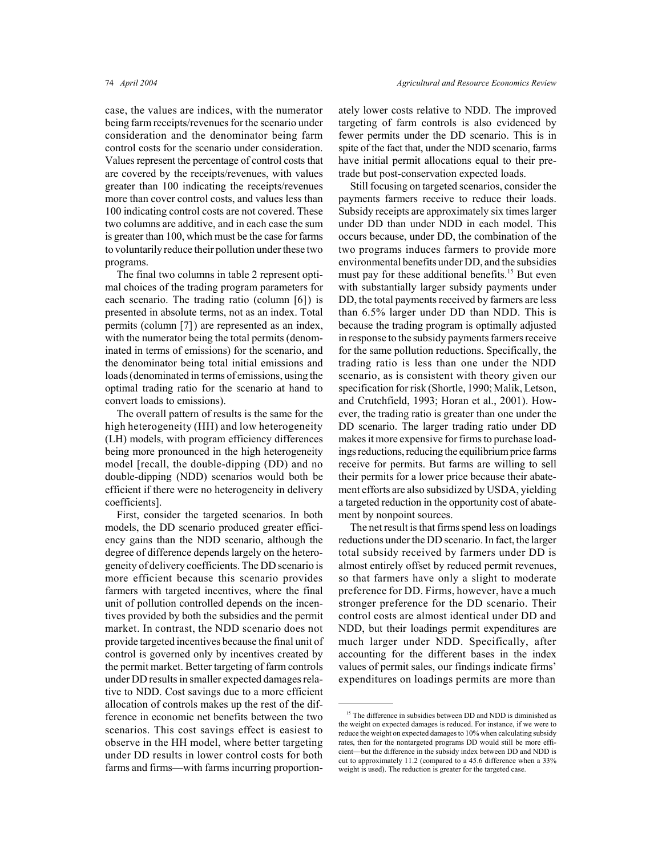case, the values are indices, with the numerator being farm receipts/revenues for the scenario under consideration and the denominator being farm control costs for the scenario under consideration. Values represent the percentage of control costs that are covered by the receipts/revenues, with values greater than 100 indicating the receipts/revenues more than cover control costs, and values less than 100 indicating control costs are not covered. These two columns are additive, and in each case the sum is greater than 100, which must be the case for farms to voluntarily reduce their pollution under these two programs.

The final two columns in table 2 represent optimal choices of the trading program parameters for each scenario. The trading ratio (column [6]) is presented in absolute terms, not as an index. Total permits (column [7]) are represented as an index, with the numerator being the total permits (denominated in terms of emissions) for the scenario, and the denominator being total initial emissions and loads (denominated in terms of emissions, using the optimal trading ratio for the scenario at hand to convert loads to emissions).

The overall pattern of results is the same for the high heterogeneity (HH) and low heterogeneity (LH) models, with program efficiency differences being more pronounced in the high heterogeneity model [recall, the double-dipping (DD) and no double-dipping (NDD) scenarios would both be efficient if there were no heterogeneity in delivery coefficients].

First, consider the targeted scenarios. In both models, the DD scenario produced greater efficiency gains than the NDD scenario, although the degree of difference depends largely on the heterogeneity of delivery coefficients. The DD scenario is more efficient because this scenario provides farmers with targeted incentives, where the final unit of pollution controlled depends on the incentives provided by both the subsidies and the permit market. In contrast, the NDD scenario does not provide targeted incentives because the final unit of control is governed only by incentives created by the permit market. Better targeting of farm controls under DD results in smaller expected damages relative to NDD. Cost savings due to a more efficient allocation of controls makes up the rest of the difference in economic net benefits between the two scenarios. This cost savings effect is easiest to observe in the HH model, where better targeting under DD results in lower control costs for both farms and firms—with farms incurring proportionately lower costs relative to NDD. The improved targeting of farm controls is also evidenced by fewer permits under the DD scenario. This is in spite of the fact that, under the NDD scenario, farms have initial permit allocations equal to their pretrade but post-conservation expected loads.

Still focusing on targeted scenarios, consider the payments farmers receive to reduce their loads. Subsidy receipts are approximately six times larger under DD than under NDD in each model. This occurs because, under DD, the combination of the two programs induces farmers to provide more environmental benefits under DD, and the subsidies must pay for these additional benefits.<sup>15</sup> But even with substantially larger subsidy payments under DD, the total payments received by farmers are less than 6.5% larger under DD than NDD. This is because the trading program is optimally adjusted in response to the subsidy payments farmers receive for the same pollution reductions. Specifically, the trading ratio is less than one under the NDD scenario, as is consistent with theory given our specification for risk (Shortle, 1990; Malik, Letson, and Crutchfield, 1993; Horan et al., 2001). However, the trading ratio is greater than one under the DD scenario. The larger trading ratio under DD makes it more expensive for firms to purchase loadings reductions, reducing the equilibrium price farms receive for permits. But farms are willing to sell their permits for a lower price because their abatement efforts are also subsidized by USDA, yielding a targeted reduction in the opportunity cost of abatement by nonpoint sources.

The net result is that firms spend less on loadings reductions under the DD scenario. In fact, the larger total subsidy received by farmers under DD is almost entirely offset by reduced permit revenues, so that farmers have only a slight to moderate preference for DD. Firms, however, have a much stronger preference for the DD scenario. Their control costs are almost identical under DD and NDD, but their loadings permit expenditures are much larger under NDD. Specifically, after accounting for the different bases in the index values of permit sales, our findings indicate firms' expenditures on loadings permits are more than

<sup>&</sup>lt;sup>15</sup> The difference in subsidies between DD and NDD is diminished as the weight on expected damages is reduced. For instance, if we were to reduce the weight on expected damages to 10% when calculating subsidy rates, then for the nontargeted programs DD would still be more efficient—but the difference in the subsidy index between DD and NDD is cut to approximately 11.2 (compared to a 45.6 difference when a 33% weight is used). The reduction is greater for the targeted case.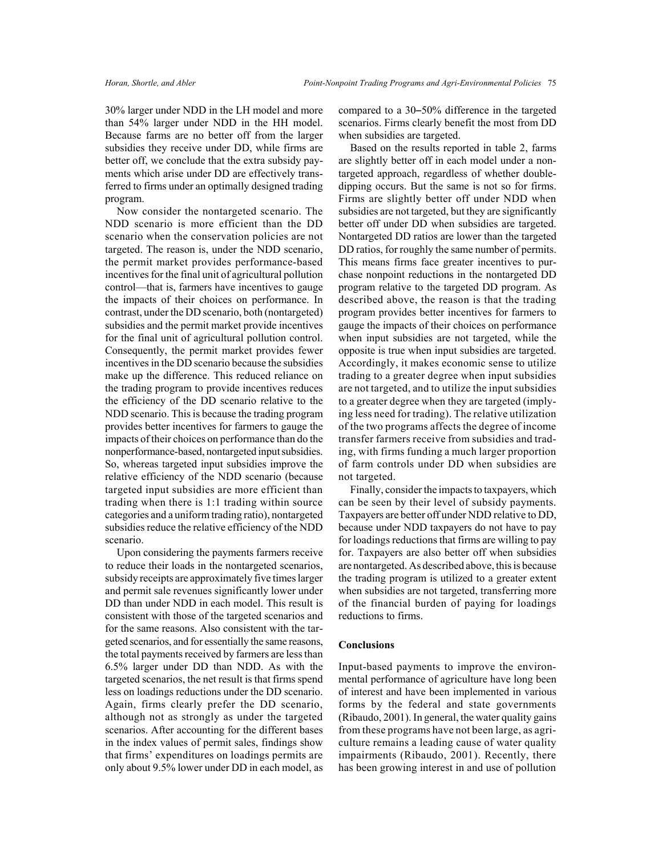30% larger under NDD in the LH model and more than 54% larger under NDD in the HH model. Because farms are no better off from the larger subsidies they receive under DD, while firms are better off, we conclude that the extra subsidy payments which arise under DD are effectively transferred to firms under an optimally designed trading program.

Now consider the nontargeted scenario. The NDD scenario is more efficient than the DD scenario when the conservation policies are not targeted. The reason is, under the NDD scenario, the permit market provides performance-based incentives for the final unit of agricultural pollution control—that is, farmers have incentives to gauge the impacts of their choices on performance. In contrast, under the DD scenario, both (nontargeted) subsidies and the permit market provide incentives for the final unit of agricultural pollution control. Consequently, the permit market provides fewer incentives in the DD scenario because the subsidies make up the difference. This reduced reliance on the trading program to provide incentives reduces the efficiency of the DD scenario relative to the NDD scenario. This is because the trading program provides better incentives for farmers to gauge the impacts of their choices on performance than do the nonperformance-based, nontargeted input subsidies. So, whereas targeted input subsidies improve the relative efficiency of the NDD scenario (because targeted input subsidies are more efficient than trading when there is 1:1 trading within source categories and a uniform trading ratio), nontargeted subsidies reduce the relative efficiency of the NDD scenario.

Upon considering the payments farmers receive to reduce their loads in the nontargeted scenarios, subsidy receipts are approximately five times larger and permit sale revenues significantly lower under DD than under NDD in each model. This result is consistent with those of the targeted scenarios and for the same reasons. Also consistent with the targeted scenarios, and for essentially the same reasons, the total payments received by farmers are less than 6.5% larger under DD than NDD. As with the targeted scenarios, the net result is that firms spend less on loadings reductions under the DD scenario. Again, firms clearly prefer the DD scenario, although not as strongly as under the targeted scenarios. After accounting for the different bases in the index values of permit sales, findings show that firms' expenditures on loadings permits are only about 9.5% lower under DD in each model, as compared to a  $30-50\%$  difference in the targeted scenarios. Firms clearly benefit the most from DD when subsidies are targeted.

Based on the results reported in table 2, farms are slightly better off in each model under a nontargeted approach, regardless of whether doubledipping occurs. But the same is not so for firms. Firms are slightly better off under NDD when subsidies are not targeted, but they are significantly better off under DD when subsidies are targeted. Nontargeted DD ratios are lower than the targeted DD ratios, for roughly the same number of permits. This means firms face greater incentives to purchase nonpoint reductions in the nontargeted DD program relative to the targeted DD program. As described above, the reason is that the trading program provides better incentives for farmers to gauge the impacts of their choices on performance when input subsidies are not targeted, while the opposite is true when input subsidies are targeted. Accordingly, it makes economic sense to utilize trading to a greater degree when input subsidies are not targeted, and to utilize the input subsidies to a greater degree when they are targeted (implying less need for trading). The relative utilization of the two programs affects the degree of income transfer farmers receive from subsidies and trading, with firms funding a much larger proportion of farm controls under DD when subsidies are not targeted.

Finally, consider the impacts to taxpayers, which can be seen by their level of subsidy payments. Taxpayers are better off under NDD relative to DD, because under NDD taxpayers do not have to pay for loadings reductions that firms are willing to pay for. Taxpayers are also better off when subsidies are nontargeted. As described above, this is because the trading program is utilized to a greater extent when subsidies are not targeted, transferring more of the financial burden of paying for loadings reductions to firms.

#### **Conclusions**

Input-based payments to improve the environmental performance of agriculture have long been of interest and have been implemented in various forms by the federal and state governments (Ribaudo, 2001). In general, the water quality gains from these programs have not been large, as agriculture remains a leading cause of water quality impairments (Ribaudo, 2001). Recently, there has been growing interest in and use of pollution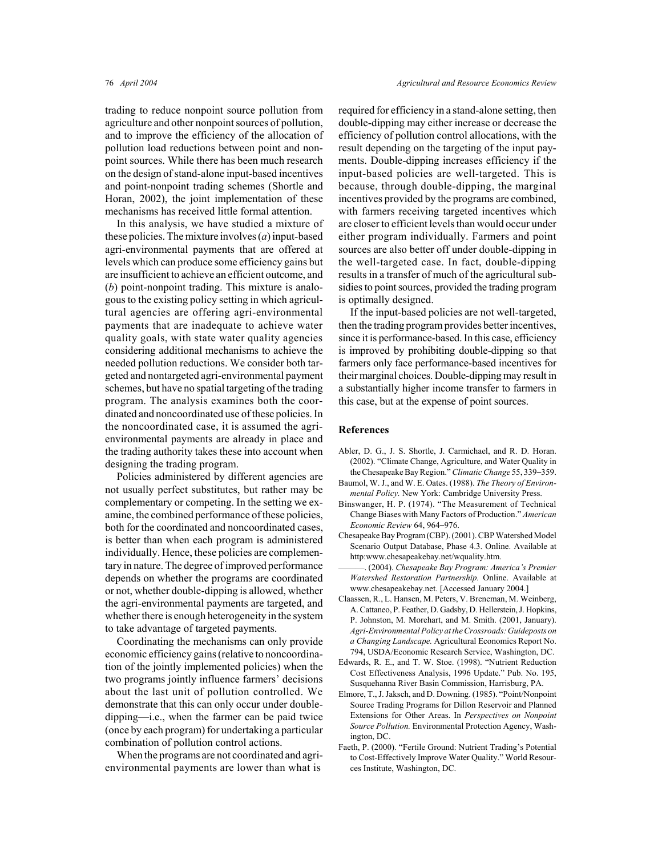trading to reduce nonpoint source pollution from agriculture and other nonpoint sources of pollution, and to improve the efficiency of the allocation of pollution load reductions between point and nonpoint sources. While there has been much research on the design of stand-alone input-based incentives and point-nonpoint trading schemes (Shortle and Horan, 2002), the joint implementation of these mechanisms has received little formal attention.

In this analysis, we have studied a mixture of these policies. The mixture involves (*a*) input-based agri-environmental payments that are offered at levels which can produce some efficiency gains but are insufficient to achieve an efficient outcome, and (*b*) point-nonpoint trading. This mixture is analogous to the existing policy setting in which agricultural agencies are offering agri-environmental payments that are inadequate to achieve water quality goals, with state water quality agencies considering additional mechanisms to achieve the needed pollution reductions. We consider both targeted and nontargeted agri-environmental payment schemes, but have no spatial targeting of the trading program. The analysis examines both the coordinated and noncoordinated use of these policies. In the noncoordinated case, it is assumed the agrienvironmental payments are already in place and the trading authority takes these into account when designing the trading program.

Policies administered by different agencies are not usually perfect substitutes, but rather may be complementary or competing. In the setting we examine, the combined performance of these policies, both for the coordinated and noncoordinated cases, is better than when each program is administered individually. Hence, these policies are complementary in nature. The degree of improved performance depends on whether the programs are coordinated or not, whether double-dipping is allowed, whether the agri-environmental payments are targeted, and whether there is enough heterogeneity in the system to take advantage of targeted payments.

Coordinating the mechanisms can only provide economic efficiency gains (relative to noncoordination of the jointly implemented policies) when the two programs jointly influence farmers' decisions about the last unit of pollution controlled. We demonstrate that this can only occur under doubledipping—i.e., when the farmer can be paid twice (once by each program) for undertaking a particular combination of pollution control actions.

When the programs are not coordinated and agrienvironmental payments are lower than what is

required for efficiency in a stand-alone setting, then double-dipping may either increase or decrease the efficiency of pollution control allocations, with the result depending on the targeting of the input payments. Double-dipping increases efficiency if the input-based policies are well-targeted. This is because, through double-dipping, the marginal incentives provided by the programs are combined, with farmers receiving targeted incentives which are closer to efficient levels than would occur under either program individually. Farmers and point sources are also better off under double-dipping in the well-targeted case. In fact, double-dipping results in a transfer of much of the agricultural subsidies to point sources, provided the trading program is optimally designed.

If the input-based policies are not well-targeted, then the trading program provides better incentives, since it is performance-based. In this case, efficiency is improved by prohibiting double-dipping so that farmers only face performance-based incentives for their marginal choices. Double-dipping may result in a substantially higher income transfer to farmers in this case, but at the expense of point sources.

#### **References**

- Abler, D. G., J. S. Shortle, J. Carmichael, and R. D. Horan. (2002). "Climate Change, Agriculture, and Water Quality in the Chesapeake Bay Region." *Climatic Change* 55, 339–359.
- Baumol, W. J., and W. E. Oates. (1988). *The Theory of Environmental Policy.* New York: Cambridge University Press.
- Binswanger, H. P. (1974). "The Measurement of Technical Change Biases with Many Factors of Production." *American Economic Review* 64, 964-976.
- Chesapeake Bay Program (CBP). (2001). CBP Watershed Model Scenario Output Database, Phase 4.3. Online. Available at http:www.chesapeakebay.net/wquality.htm.
- ———. (2004). *Chesapeake Bay Program: America's Premier Watershed Restoration Partnership.* Online. Available at www.chesapeakebay.net. [Accessed January 2004.]
- Claassen, R., L. Hansen, M. Peters, V. Breneman, M. Weinberg, A. Cattaneo, P. Feather, D. Gadsby, D. Hellerstein, J. Hopkins, P. Johnston, M. Morehart, and M. Smith. (2001, January). *Agri-Environmental Policy at the Crossroads: Guideposts on a Changing Landscape.* Agricultural Economics Report No. 794, USDA/Economic Research Service, Washington, DC.
- Edwards, R. E., and T. W. Stoe. (1998). "Nutrient Reduction Cost Effectiveness Analysis, 1996 Update." Pub. No. 195, Susquehanna River Basin Commission, Harrisburg, PA.
- Elmore, T., J. Jaksch, and D. Downing. (1985). "Point/Nonpoint Source Trading Programs for Dillon Reservoir and Planned Extensions for Other Areas. In *Perspectives on Nonpoint Source Pollution.* Environmental Protection Agency, Washington, DC.
- Faeth, P. (2000). "Fertile Ground: Nutrient Trading's Potential to Cost-Effectively Improve Water Quality." World Resources Institute, Washington, DC.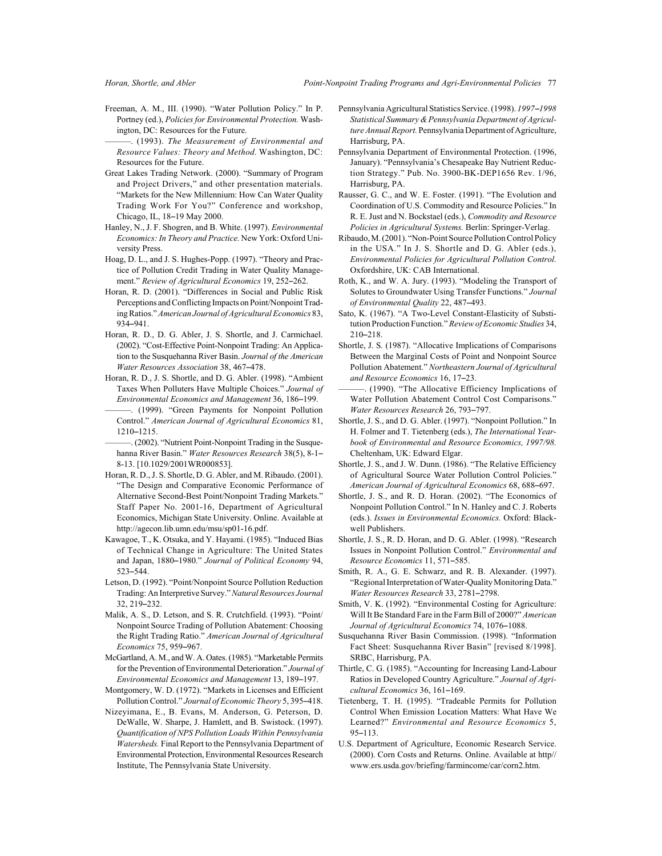- Freeman, A. M., III. (1990). "Water Pollution Policy." In P. Portney (ed.), *Policies for Environmental Protection.* Washington, DC: Resources for the Future.
- ———. (1993). *The Measurement of Environmental and Resource Values: Theory and Method.* Washington, DC: Resources for the Future.
- Great Lakes Trading Network. (2000). "Summary of Program and Project Drivers," and other presentation materials. "Markets for the New Millennium: How Can Water Quality Trading Work For You?" Conference and workshop, Chicago, IL, 18-19 May 2000.
- Hanley, N., J. F. Shogren, and B. White. (1997). *Environmental Economics: In Theory and Practice.* New York: Oxford University Press.
- Hoag, D. L., and J. S. Hughes-Popp. (1997). "Theory and Practice of Pollution Credit Trading in Water Quality Management." Review of Agricultural Economics 19, 252-262.
- Horan, R. D. (2001). "Differences in Social and Public Risk Perceptions and Conflicting Impacts on Point/Nonpoint Trading Ratios." *American Journal of Agricultural Economics* 83, 934-941
- Horan, R. D., D. G. Abler, J. S. Shortle, and J. Carmichael. (2002). "Cost-Effective Point-Nonpoint Trading: An Application to the Susquehanna River Basin. *Journal of the American Water Resources Association* 38, 467-478.
- Horan, R. D., J. S. Shortle, and D. G. Abler. (1998). "Ambient Taxes When Polluters Have Multiple Choices." *Journal of Environmental Economics and Management* 36, 186-199.
- ———. (1999). "Green Payments for Nonpoint Pollution Control." *American Journal of Agricultural Economics* 81,  $1210 - 1215$
- -. (2002). "Nutrient Point-Nonpoint Trading in the Susquehanna River Basin." Water Resources Research 38(5), 8-1-8-13. [10.1029/2001WR000853].
- Horan, R. D., J. S. Shortle, D. G. Abler, and M. Ribaudo. (2001). "The Design and Comparative Economic Performance of Alternative Second-Best Point/Nonpoint Trading Markets." Staff Paper No. 2001-16, Department of Agricultural Economics, Michigan State University. Online. Available at http://agecon.lib.umn.edu/msu/sp01-16.pdf.
- Kawagoe, T., K. Otsuka, and Y. Hayami. (1985). "Induced Bias of Technical Change in Agriculture: The United States and Japan, 1880-1980." *Journal of Political Economy* 94, 523-544
- Letson, D. (1992). "Point/Nonpoint Source Pollution Reduction Trading: An Interpretive Survey." *Natural Resources Journal* 32, 219-232.
- Malik, A. S., D. Letson, and S. R. Crutchfield. (1993). "Point/ Nonpoint Source Trading of Pollution Abatement: Choosing the Right Trading Ratio." *American Journal of Agricultural Economics* 75, 959-967.
- McGartland, A. M., and W. A. Oates. (1985). "Marketable Permits for the Prevention of Environmental Deterioration." *Journal of Environmental Economics and Management* 13, 189-197.
- Montgomery, W. D. (1972). "Markets in Licenses and Efficient Pollution Control." *Journal of Economic Theory* 5, 395-418.
- Nizeyimana, E., B. Evans, M. Anderson, G. Peterson, D. DeWalle, W. Sharpe, J. Hamlett, and B. Swistock. (1997). *Quantification of NPS Pollution Loads Within Pennsylvania Watersheds.* Final Report to the Pennsylvania Department of Environmental Protection, Environmental Resources Research Institute, The Pennsylvania State University.
- Pennsylvania Agricultural Statistics Service. (1998). *1997-1998 Statistical Summary & Pennsylvania Department of Agriculture Annual Report.* Pennsylvania Department of Agriculture, Harrisburg, PA.
- Pennsylvania Department of Environmental Protection. (1996, January). "Pennsylvania's Chesapeake Bay Nutrient Reduction Strategy." Pub. No. 3900-BK-DEP1656 Rev. 1/96, Harrisburg, PA.
- Rausser, G. C., and W. E. Foster. (1991). "The Evolution and Coordination of U.S. Commodity and Resource Policies." In R. E. Just and N. Bockstael (eds.), *Commodity and Resource Policies in Agricultural Systems.* Berlin: Springer-Verlag.
- Ribaudo, M. (2001). "Non-Point Source Pollution Control Policy in the USA." In J. S. Shortle and D. G. Abler (eds.), *Environmental Policies for Agricultural Pollution Control.* Oxfordshire, UK: CAB International.
- Roth, K., and W. A. Jury. (1993). "Modeling the Transport of Solutes to Groundwater Using Transfer Functions." *Journal* of Environmental Quality 22, 487-493.
- Sato, K. (1967). "A Two-Level Constant-Elasticity of Substitution Production Function." *Review of Economic Studies* 34, 210-218.
- Shortle, J. S. (1987). "Allocative Implications of Comparisons Between the Marginal Costs of Point and Nonpoint Source Pollution Abatement." *Northeastern Journal of Agricultural* and Resource Economics 16, 17–23.
- ———. (1990). "The Allocative Efficiency Implications of Water Pollution Abatement Control Cost Comparisons." **Water Resources Research 26, 793-797.**
- Shortle, J. S., and D. G. Abler. (1997). "Nonpoint Pollution." In H. Folmer and T. Tietenberg (eds.), *The International Yearbook of Environmental and Resource Economics, 1997/98.* Cheltenham, UK: Edward Elgar.
- Shortle, J. S., and J. W. Dunn. (1986). "The Relative Efficiency of Agricultural Source Water Pollution Control Policies." American Journal of Agricultural Economics 68, 688-697.
- Shortle, J. S., and R. D. Horan. (2002). "The Economics of Nonpoint Pollution Control." In N. Hanley and C. J. Roberts (eds.). *Issues in Environmental Economics.* Oxford: Blackwell Publishers.
- Shortle, J. S., R. D. Horan, and D. G. Abler. (1998). "Research Issues in Nonpoint Pollution Control." *Environmental and Resource Economics* 11, 571-585.
- Smith, R. A., G. E. Schwarz, and R. B. Alexander. (1997). "Regional Interpretation of Water-Quality Monitoring Data." *Water Resources Research* 33, 2781-2798.
- Smith, V. K. (1992). "Environmental Costing for Agriculture: Will It Be Standard Fare in the Farm Bill of 2000?" *American Journal of Agricultural Economics* 74, 1076–1088.
- Susquehanna River Basin Commission. (1998). "Information Fact Sheet: Susquehanna River Basin" [revised 8/1998]. SRBC, Harrisburg, PA.
- Thirtle, C. G. (1985). "Accounting for Increasing Land-Labour Ratios in Developed Country Agriculture." *Journal of Agri*cultural Economics 36, 161-169.
- Tietenberg, T. H. (1995). "Tradeable Permits for Pollution Control When Emission Location Matters: What Have We Learned?" *Environmental and Resource Economics* 5,  $95 - 113$ .
- U.S. Department of Agriculture, Economic Research Service. (2000). Corn Costs and Returns. Online. Available at http// www.ers.usda.gov/briefing/farmincome/car/corn2.htm.